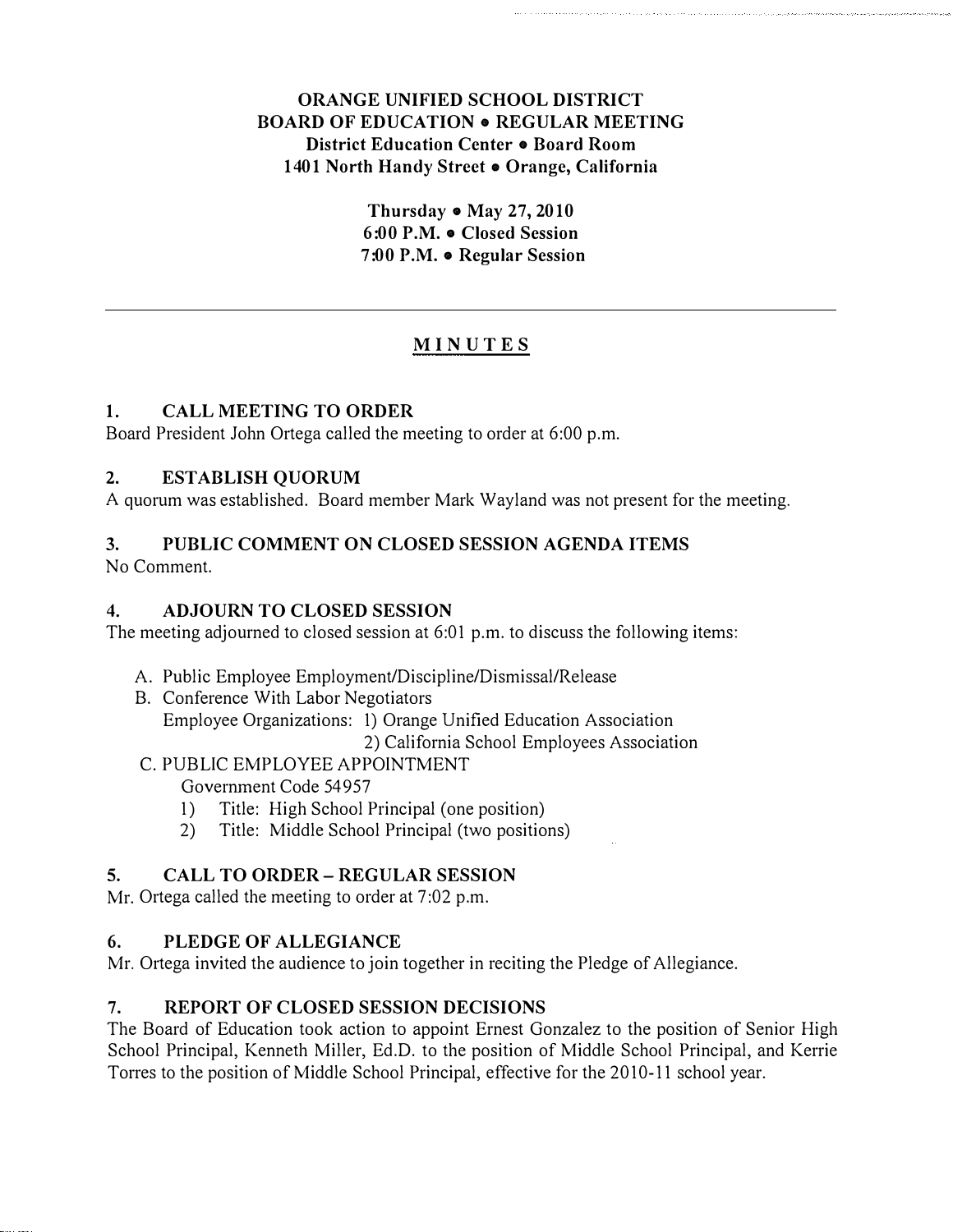# ORANGE UNIFIED SCHOOL DISTRICT **BOARD OF EDUCATION . REGULAR MEETING** District Education Center . Board Room 1401 North Handy Street e Orange, California

Thursday  $\bullet$  May 27, 2010 6:00 P.M. • Closed Session 7:00 P.M. • Regular Session

# MINUTES

# 1. CALL MEETING TO ORDER

Board President John Ortega called the meeting to order at 6:00 p.m.

# 2. ESTABLISH QUORUM

A quorum was established. Board member Mark Wayland was not present for the meeting.

# 3. PUBLIC COMMENT ON CLOSED SESSION AGENDA ITEMS

No Comment.

# 4. ADJOURN TO CLOSED SESSION

The meeting adjourned to closed session at 6:01 p.m. to discuss the following items:

- A. Public Employee Employment/Discipline/Dismissal/Release
- B. Conference With Labor Negotiators Employee Organizations: 1) Orange Unified Education Association 2) California School Employees Association

C. PUBLIC EMPLOYEE APPOINTMENT

Government Code 54957

- 1) Title: High School Principal (one position)
- 2) Title: Middle School Principal (two positions)

# 5. CALL TO ORDER- REGULAR SESSION

Mr. Ortega called the meeting to order at 7:02 p.m.

# 6. PLEDGE OF ALLEGIANCE

Mr. Ortega invited the audience to join together in reciting the Pledge of Allegiance.

# 7. REPORT OF CLOSED SESSION DECISIONS

The Board of Education took action to appoint Ernest Gonzalez to the position of Senior High School Principal, Kenneth Miller, Ed.D. to the position of Middle School Principal, and Kerrie Torres to the position of Middle School Principal, effective for the 2010-11 school year.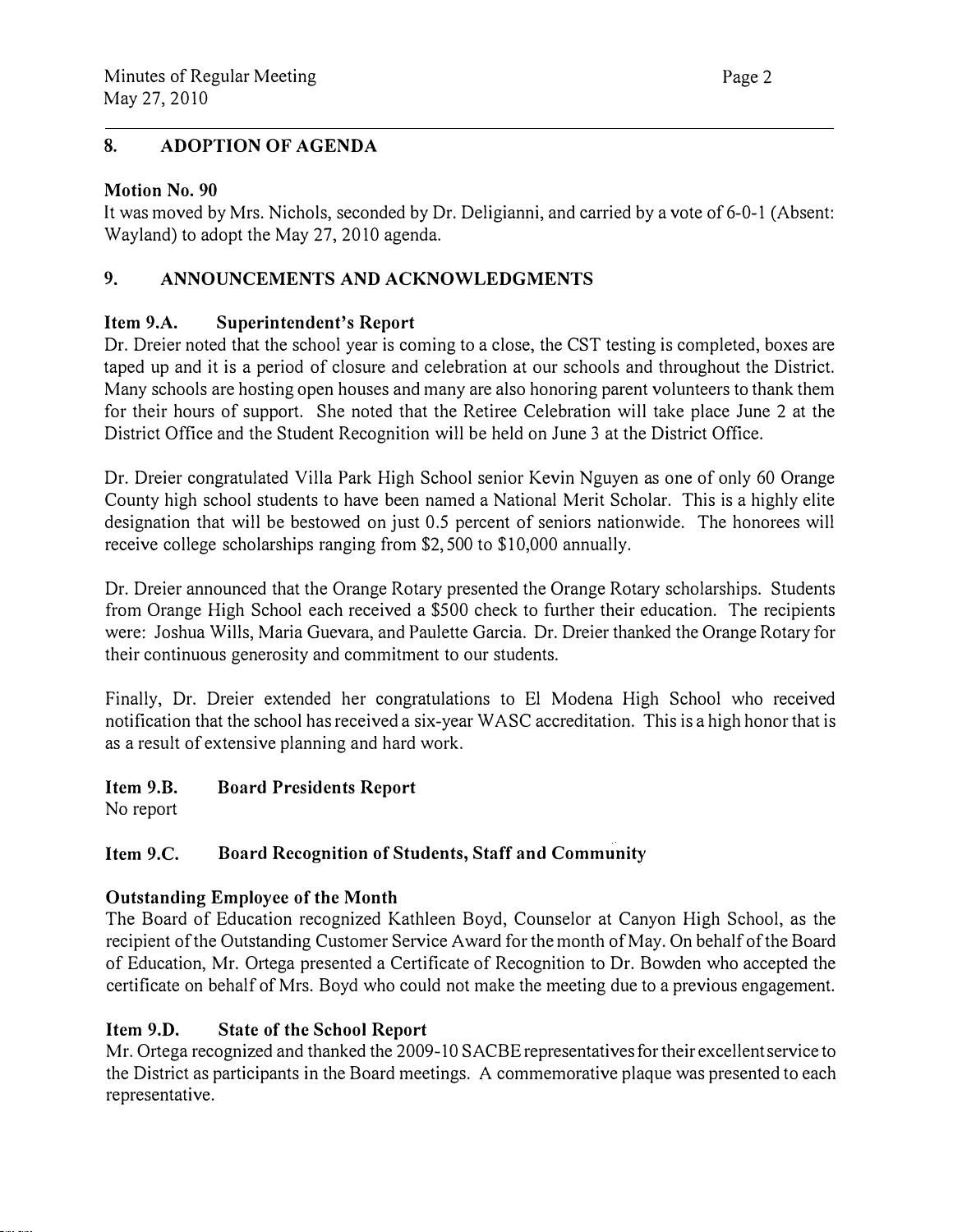# 8. ADOPTION OF AGENDA

#### Motion No. 90

It was moved by Mrs. Nichols, seconded by Dr. Deligianni, and carried by a vote of 6-0-1 (Absent: Wayland) to adopt the May 27, 2010 agenda.

# 9. ANNOUNCEMENTS AND ACKNOWLEDGMENTS

# Item 9.A. Superintendent's Report

Dr. Dreier noted that the school year is coming to a close, the CST testing is completed, boxes are taped up and it is a period of closure and celebration at our schools and throughout the District. Many schools are hosting open houses and many are also honoring parent volunteers to thank them for their hours of support. She noted that the Retiree Celebration will take place June 2 at the District Office and the Student Recognition will be held on June 3 at the District Office.

Dr. Dreier congratulated Villa Park High School senior Kevin Nguyen as one of only 60 Orange County high school students to have been named a National Merit Scholar. This is a highly elite designation that will be bestowed on just 0.5 percent of seniors nationwide. The honorees will receive college scholarships ranging from \$2,500 to \$10,000 annually.

Dr. Dreier announced that the Orange Rotary presented the Orange Rotary scholarships. Students from Orange High School each received a \$500 check to further their education. The recipients were: Joshua Wills, Maria Guevara, and Paulette Garcia. Dr. Dreier thanked the Orange Rotary for their continuous generosity and commitment to our students.

Finally, Dr. Dreier extended her congratulations to El Modena High School who received notification that the school has received a six-year W ASC accreditation. This is a high honor that is as a result of extensive planning and hard work.

#### Item 9.B. Board Presidents Report

No report

#### Item 9.C. Board Recognition of Students, Staff and Community

# Outstanding Employee of the Month

The Board of Education recognized Kathleen Boyd, Counselor at Canyon High School, as the recipient of the Outstanding Customer Service Award for the month of May. On behalf of the Board of Education, Mr. Ortega presented a Certificate of Recognition to Dr. Bowden who accepted the certificate on behalf of Mrs. Boyd who could not make the meeting due to a previous engagement.

# Item 9.D. State of the School Report

Mr. Ortega recognized and thanked the 2009-10 SACBE representatives for their excellent service to the District as participants in the Board meetings. A commemorative plaque was presented to each representative.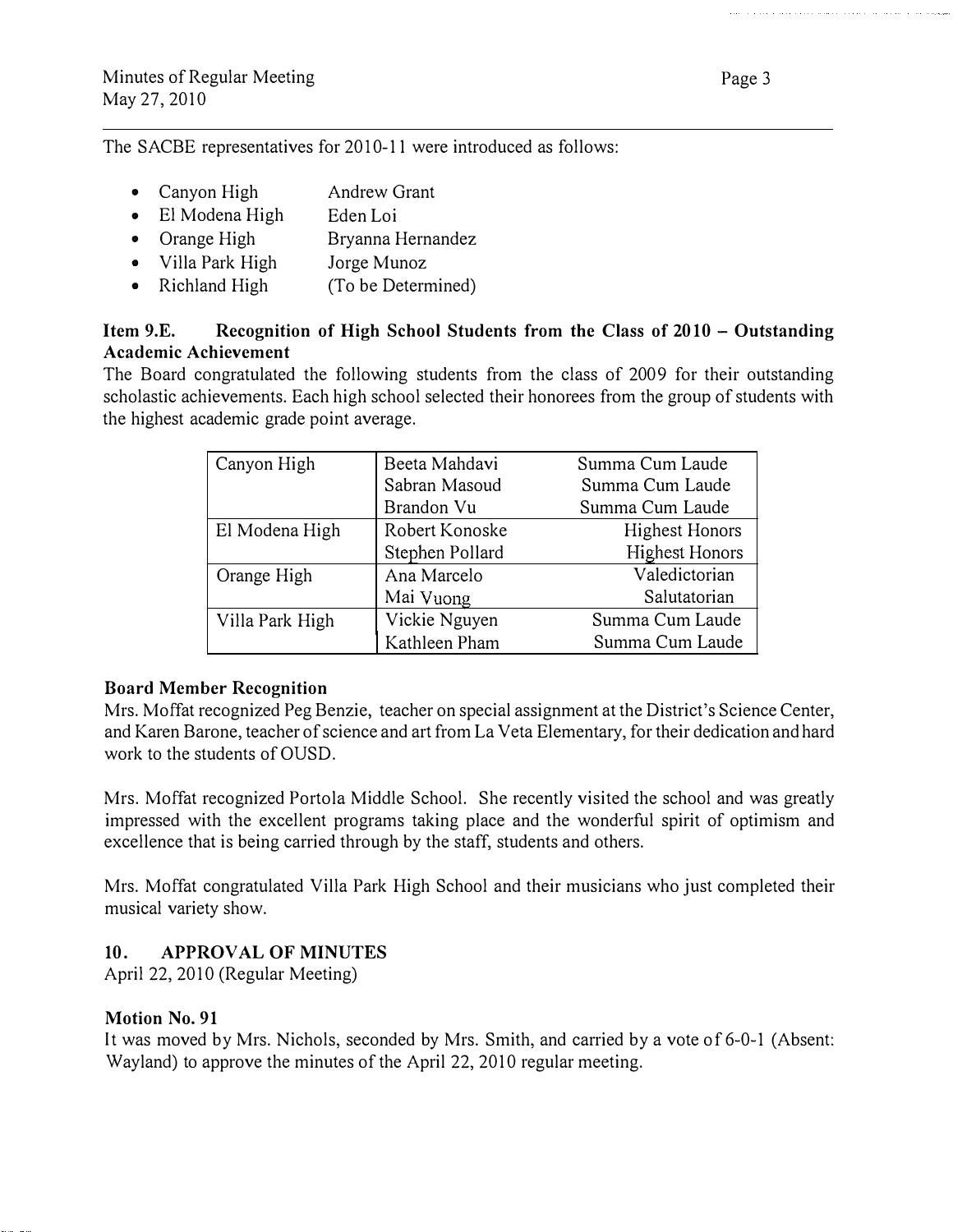The SACBE representatives for 2010-11 were introduced as follows:

- Canyon High Andrew Grant
- El Modena High Eden Loi
- Orange High Bryanna Hernandez
- Villa Park High Jorge Munoz
- Richland High (To be Determined)

## Item 9.E. Recognition of High School Students from the Class of 2010 - Outstanding Academic Achievement

The Board congratulated the following students from the class of 2009 for their outstanding scholastic achievements. Each high school selected their honorees from the group of students with the highest academic grade point average.

| Canyon High     | Beeta Mahdavi   | Summa Cum Laude       |
|-----------------|-----------------|-----------------------|
|                 | Sabran Masoud   | Summa Cum Laude       |
|                 | Brandon Vu      | Summa Cum Laude       |
| El Modena High  | Robert Konoske  | <b>Highest Honors</b> |
|                 | Stephen Pollard | <b>Highest Honors</b> |
| Orange High     | Ana Marcelo     | Valedictorian         |
|                 | Mai Vuong       | Salutatorian          |
| Villa Park High | Vickie Nguyen   | Summa Cum Laude       |
|                 | Kathleen Pham   | Summa Cum Laude       |

#### Board Member Recognition

Mrs. Moffat recognized Peg Benzie, teacher on special assignment at the District's Science Center, and Karen Barone, teacher of science and art from La Veta Elementary, for their dedication and hard work to the students of OUSD.

Mrs. Moffat recognized Portola Middle School. She recently visited the school and was greatly impressed with the excellent programs taking place and the wonderful spirit of optimism and excellence that is being carried through by the staff, students and others.

Mrs. Moffat congratulated Villa Park High School and their musicians who just completed their musical variety show.

# 10. APPROVAL OF MINUTES

April 22, 2010 (Regular Meeting)

#### Motion No. 91

It was moved by Mrs. Nichols, seconded by Mrs. Smith, and carried by a vote of 6-0-1 (Absent: Wayland) to approve the minutes of the April 22, 2010 regular meeting.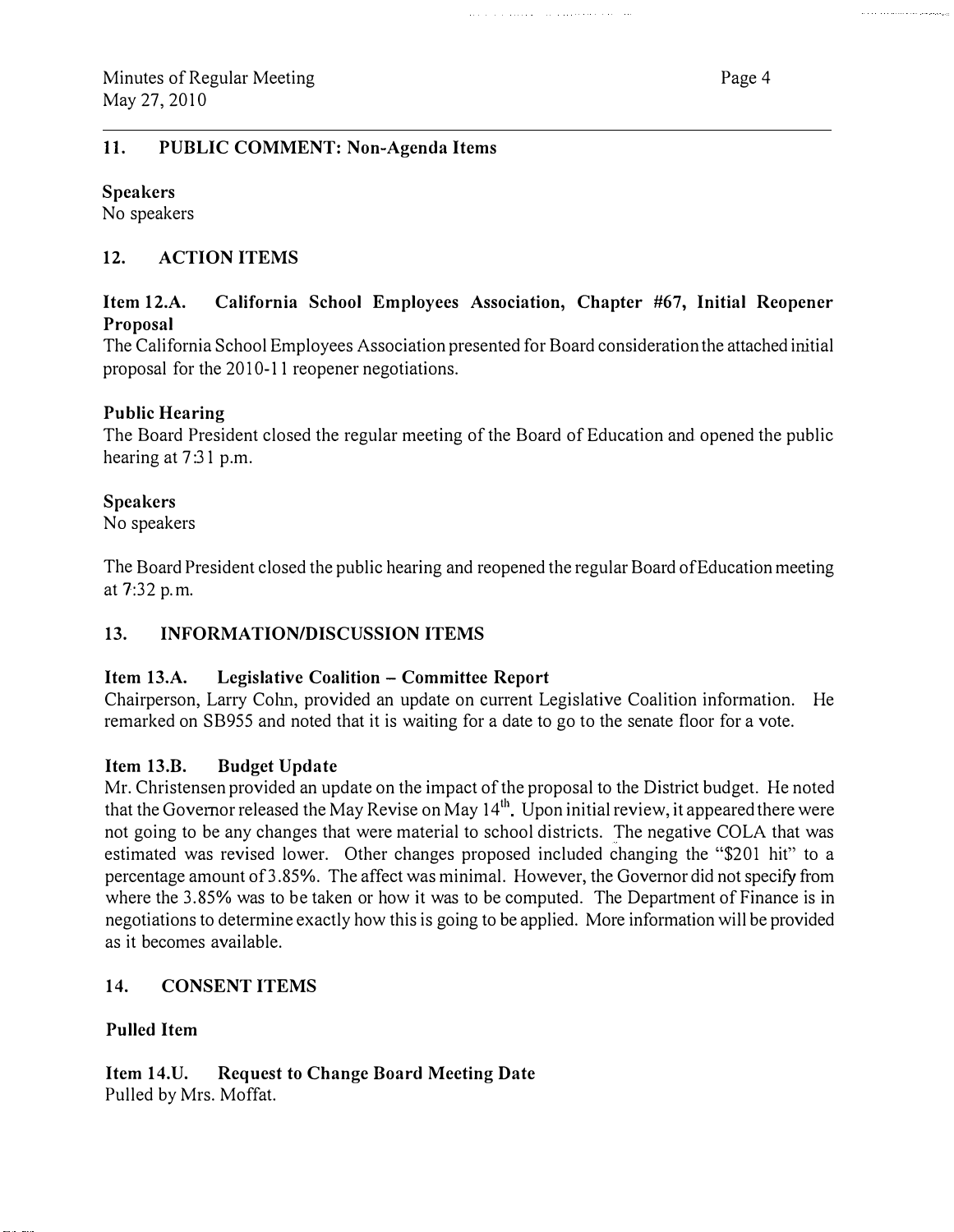#### II. PUBLIC COMMENT: Non-Agenda Items

Speakers

No speakers

# 12. ACTION ITEMS

## Item 12.A. California School Employees Association, Chapter #67, Initial Reopener Proposal

and a construction of the complete state and

The California School Employees Association presented for Board consideration the attached initial proposal for the 2010-11 reopener negotiations.

# Public Hearing

The Board President closed the regular meeting of the Board of Education and opened the public hearing at 7:31 p.m.

#### Speakers

No speakers

The Board President closed the public hearing and reopened the regular Board of Education meeting at 7:32 p.m.

# 13. INFORMATION/DISCUSSION ITEMS

#### Item 13.A. Legislative Coalition - Committee Report

Chairperson, Larry Colm, provided an update on current Legislative Coalition information. He remarked on SB955 and noted that it is waiting for a date to go to the senate floor for a vote.

#### Item 13.B. Budget Update

Mr. Christensen provided an update on the impact of the proposal to the District budget. He noted that the Governor released the May Revise on May  $14<sup>th</sup>$ . Upon initial review, it appeared there were not going to be any changes that were material to school districts. The negative COLA that was estimated was revised lower. Other changes proposed included changing the "\$201 hit" to a percentage amount of 3.85%. The affect was minimal. However, the Governor did not specify from where the 3.85% was to be taken or how it was to be computed. The Department of Finance is in negotiations to determine exactly how this is going to be applied. More information will be provided as it becomes available.

# 14. CONSENT ITEMS

# Pulled Item

Item 14.U. Request to Change Board Meeting Date Pulled by Mrs. Moffat.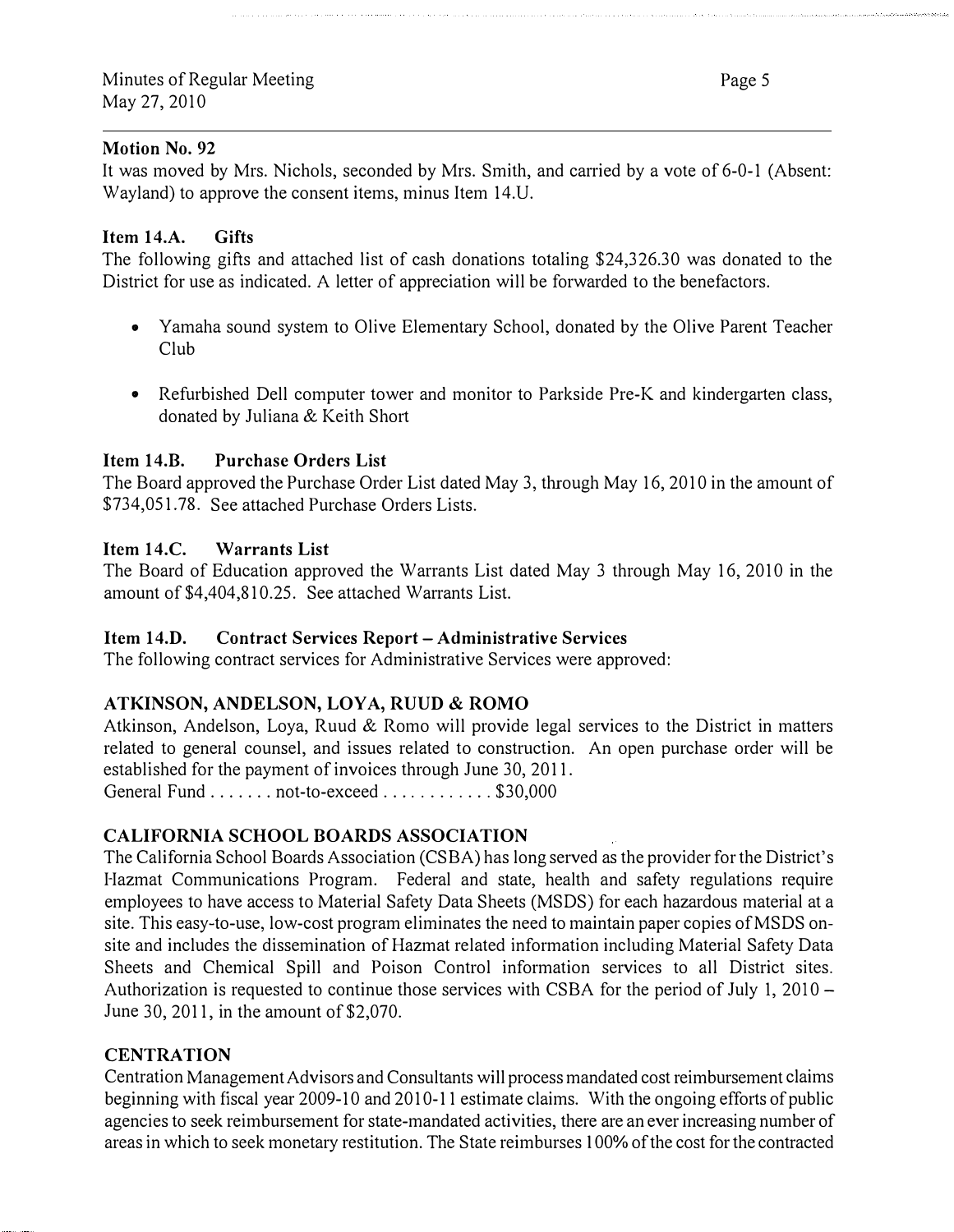#### Motion No. 92

It was moved by Mrs. Nichols, seconded by Mrs. Smith, and carried by a vote of 6-0-1 (Absent: Wayland) to approve the consent items, minus Item 14.U.

#### Item 14.A. Gifts

The following gifts and attached list of cash donations totaling \$24, 326.30 was donated to the District for use as indicated. A letter of appreciation will be forwarded to the benefactors.

- Yamaha sound system to Olive Elementary School, donated by the Olive Parent Teacher Club
- Refurbished Dell computer tower and monitor to Parkside Pre-K and kindergarten class, donated by Juliana & Keith Short

#### Item 14.B. Purchase Orders List

The Board approved the Purchase Order List dated May 3, through May 16, 2010 in the amount of \$734,051.78. See attached Purchase Orders Lists.

#### Item 14.C. Warrants List

The Board of Education approved the Warrants List dated May 3 through May 16, 2010 in the amount of \$4,404,810.25. See attached Warrants List.

#### Item 14.D. Contract Services Report- Administrative Services

The following contract services for Administrative Services were approved:

#### ATKINSON, ANDELSON, LOYA, RUUD & ROMO

Atkinson, Andelson, Loya, Ruud & Romo will provide legal services to the District in matters related to general counsel, and issues related to construction. An open purchase order will be established for the payment of invoices through June 30, 2011. General Fund . . . . . . . not-to-exceed . . . . . . . . . . . \$30,000

# CALIFORNIA SCHOOL BOARDS ASSOCIATION

The California School Boards Association (CSBA) has long served as the provider for the District's I-Iazmat Communications Program. Federal and state, health and safety regulations require employees to have access to Material Safety Data Sheets (MSDS) for each hazardous material at a site. This easy-to-use, low-cost program eliminates the need to maintain paper copies of MSDS onsite and includes the dissemination of Hazmat related information including Material Safety Data Sheets and Chemical Spill and Poison Control information services to all District sites. Authorization is requested to continue those services with CSBA for the period of July 1, 2010  $-$ June 30, 2011, in the amount of \$2,070.

#### **CENTRATION**

Centration Management Advisors and Consultants will process mandated cost reimbursement claims beginning with fiscal year 2009-10 and 2010-11 estimate claims. With the ongoing efforts of public agencies to seek reimbursement for state-mandated activities, there are an ever increasing number of areas in which to seek monetary restitution. The State reimburses I 00% of the cost for the contracted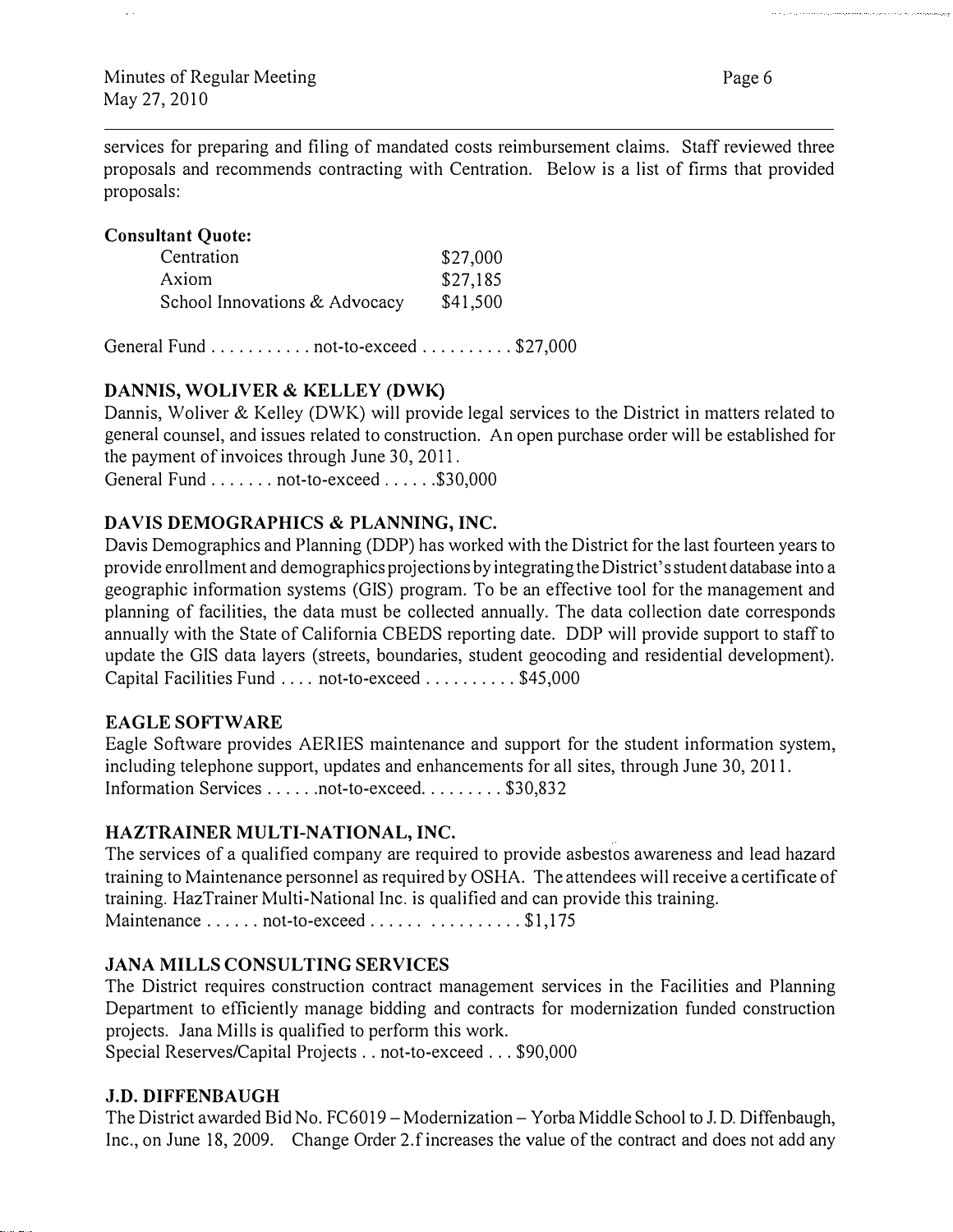services for preparing and filing of mandated costs reimbursement claims. Staff reviewed three proposals and recommends contracting with Centration. Below is a list of firms that provided proposals:

#### Consultant Quote:

| Centration                    | \$27,000 |
|-------------------------------|----------|
| Axiom                         | \$27,185 |
| School Innovations & Advocacy | \$41,500 |

General Fund ... ........ not-to-exceed ......... . \$27,000

# DANNIS, WOLIVER & KELLEY (DWK)

Dannis, Woliver & Kelley (DWK) will provide legal services to the District in matters related to general counsel, and issues related to construction. An open purchase order will be established for the payment of invoices through June 30, 20 II.

General Fund . . . . . . . not-to-exceed . . . . . . \$30,000

# DAVIS DEMOGRAPHICS & PLANNING, INC.

Davis Demographics and Planning (DDP) has worked with the District for the last fourteen years to provide emollment and demographics projections by integrating the District's student database into a geographic information systems (GIS) program. To be an effective tool for the management and planning of facilities, the data must be collected annually. The data collection date corresponds annually with the State of California CBEDS reporting date. DDP will provide support to staff to update the GIS data layers (streets, boundaries, student geocoding and residential development). Capital Facilities Fund .... not-to-exceed .......... \$45,000

#### EAGLE SOFTWARE

Eagle Software provides AERIES maintenance and support for the student information system, including telephone support, updates and enhancements for all sites, through June 30, 2011. Information Services . . . . . . not-to-exceed. . . . . . . . \$30,832

#### HAZTRAINER MULTI-NATIONAL, INC.

The services of a qualified company are required to provide asbestos awareness and lead hazard training to Maintenance personnel as required by OSHA. The attendees will receive a certificate of training. HazTrainer Multi-National Inc. is qualified and can provide this training. Maintenance ...... not-to-exceed ...... ........... \$1,175

# JANA MILLS CONSULTING SERVICES

The District requires construction contract management services in the Facilities and Planning Department to efficiently manage bidding and contracts for modernization funded construction projects. Jana Mills is qualified to perform this work.

Special Reserves/Capital Projects .. not-to-exceed ... \$90,000

#### J.D. DIFFENBAUGH

The District awarded Bid No. FC6019 – Modernization – Yorba Middle School to J. D. Diffenbaugh, Inc., on June 18, 2009. Change Order 2.f increases the value of the contract and does not add any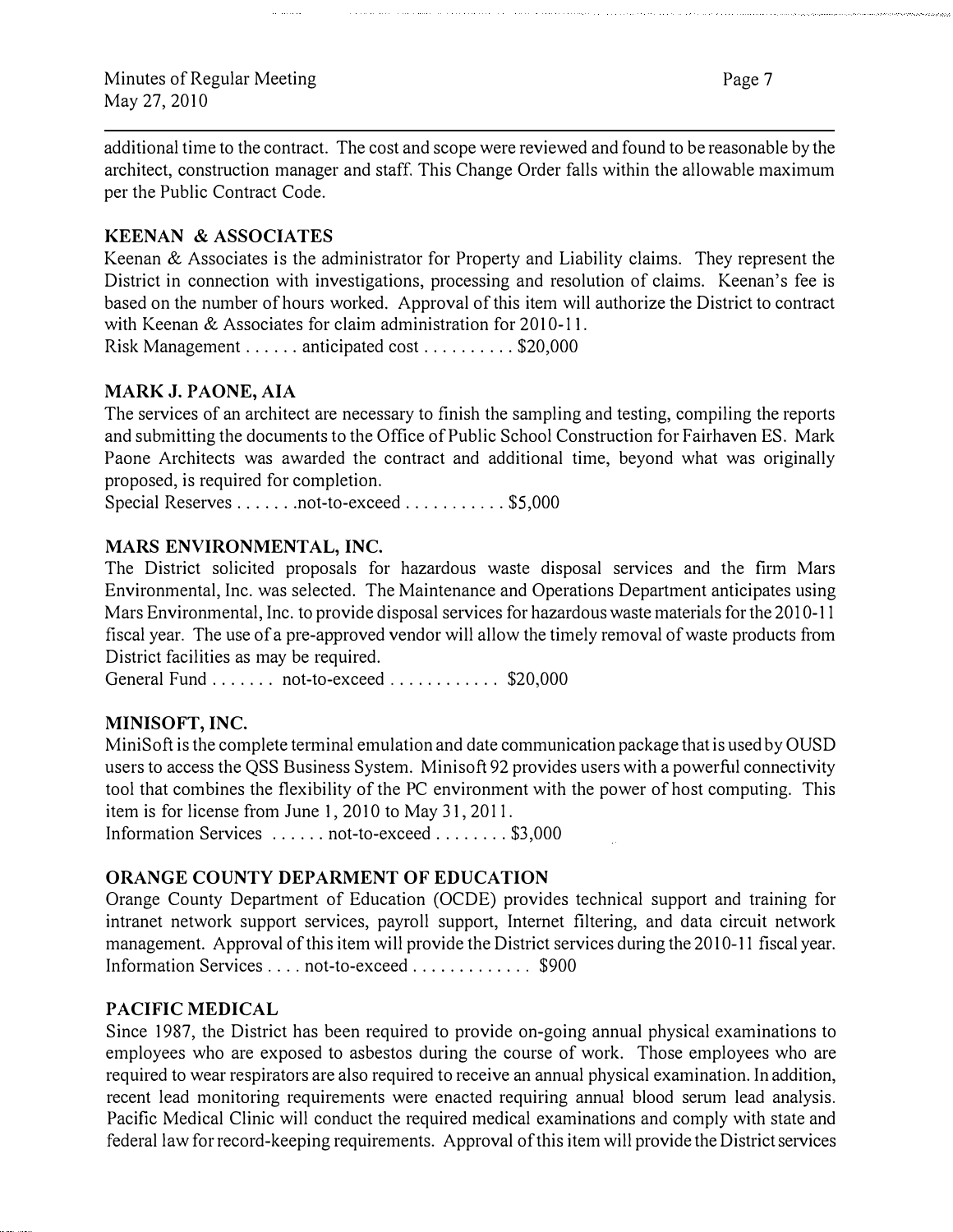Page 7

additional time to the contract. The cost and scope were reviewed and found to be reasonable by the architect, construction manager and staff. This Change Order falls within the allowable maximum per the Public Contract Code.

#### KEENAN & ASSOCIATES

Keenan & Associates is the administrator for Property and Liability claims. They represent the District in connection with investigations, processing and resolution of claims. Keenan's fee is based on the number of hours worked. Approval of this item will authorize the District to contract with Keenan  $&$  Associates for claim administration for 2010-11.

Risk Management ...... anticipated cost .......... \$20,000

#### MARK J. PAONE, AlA

The services of an architect are necessary to finish the sampling and testing, compiling the reports and submitting the documents to the Office of Public School Construction for Fairhaven ES. Mark Paone Architects was awarded the contract and additional time, beyond what was originally proposed, is required for completion.

Special Reserves ....... not-to-exceed ........... \$5,000

#### MARS ENVIRONMENTAL, INC.

The District solicited proposals for hazardous waste disposal services and the firm Mars Environmental, Inc. was selected. The Maintenance and Operations Department anticipates using Mars Environmental, Inc. to provide disposal services for hazardous waste materials for the 2010-11 fiscal year. The use of a pre-approved vendor will allow the timely removal of waste products from District facilities as may be required.

General Fund ....... not-to-exceed ............. \$20,000

#### MINISOFT, INC.

Mini Soft is the complete terminal emulation and date communication package that is used by OUSD users to access the QSS Business System. Minisoft 92 provides users with a powerful connectivity tool that combines the flexibility of the PC environment with the power of host computing. This item is for license from June 1, 2010 to May 31, 2011.

Information Services ...... not-to-exceed ........ \$3,000

#### ORANGE COUNTY DEPARMENT OF EDUCATION

Orange County Department of Education (OCDE) provides technical support and training for intranet network support services, payroll support, Internet filtering, and data circuit network management. Approval of this item will provide the District services during the 2010-11 fiscal year. Information Services . . . . not-to-exceed . . . . . . . . . . . \$900

#### PACIFIC MEDICAL

Since 1987, the District has been required to provide on-going annual physical examinations to employees who are exposed to asbestos during the course of work. Those employees who are required to wear respirators are also required to receive an annual physical examination. In addition, recent lead monitoring requirements were enacted requiring annual blood serum lead analysis. Pacific Medical Clinic will conduct the required medical examinations and comply with state and federal law for record-keeping requirements. Approval of this item will provide the District services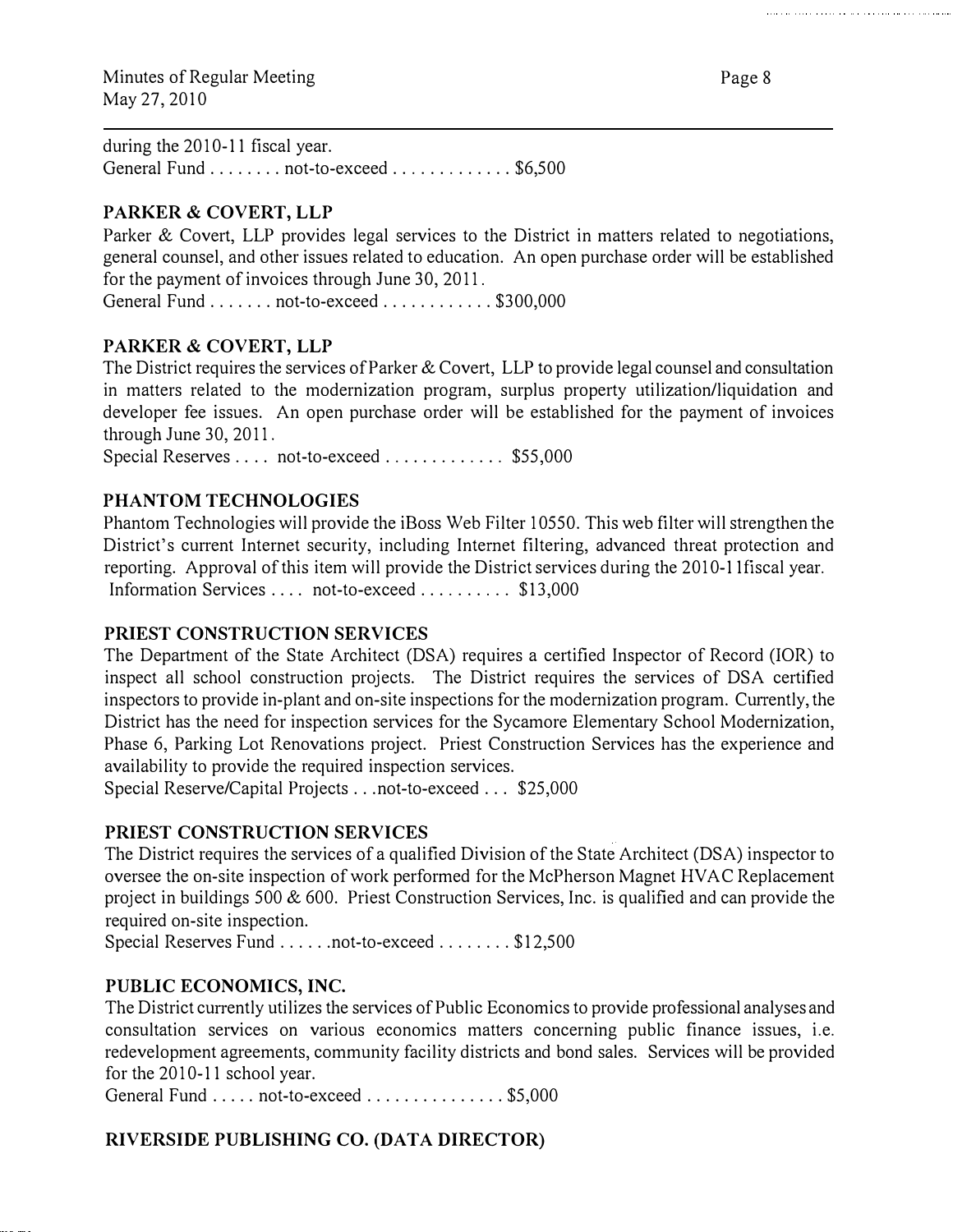during the  $2010-11$  fiscal year. General Fund ........ not-to-exceed .............. \$6,500

# PARKER & COVERT, LLP

Parker & Covert, LLP provides legal services to the District in matters related to negotiations, general counsel, and other issues related to education. An open purchase order will be established for the payment of invoices through June 30, 2011.

General Fund ....... not-to-exceed ............ \$300,000

#### PARKER & COVERT, LLP

The District requires the services of Parker & Covert, LLP to provide legal counsel and consultation in matters related to the modernization program, surplus property utilization/liquidation and developer fee issues. An open purchase order will be established for the payment of invoices through June 30, 2011.

Special Reserves . . . . not-to-exceed . . . . . . . . . . . \$55,000

# PHANTOM TECHNOLOGIES

Phantom Technologies will provide the iBoss Web Filter 10550. This web filter will strengthen the District's current Internet security, including Internet filtering, advanced threat protection and reporting. Approval of this item will provide the District services during the 2010-11 fiscal year. Information Services .... not-to-exceed ......... \$13,000

#### PRIEST CONSTRUCTION SERVICES

The Department of the State Architect (DSA) requires a certified Inspector of Record (!OR) to inspect all school construction projects. The District requires the services of DSA certified inspectors to provide in-plant and on-site inspections for the modernization program. Currently, the District has the need for inspection services for the Sycamore Elementary School Modernization, Phase 6, Parking Lot Renovations project. Priest Construction Services has the experience and availability to provide the required inspection services.

Special Reserve/Capital Projects ... not-to-exceed ... \$25,000

#### PRIEST CONSTRUCTION SERVICES

The District requires the services of a qualified Division of the State Architect (DSA) inspector to oversee the on-site inspection of work performed for the McPherson Magnet HVAC Replacement project in buildings 500 & 600. Priest Construction Services, Inc. is qualified and can provide the required on-site inspection.

Special Reserves Fund ......not-to-exceed ........ \$12,500

#### PUBLIC ECONOMICS, INC.

The District currently utilizes the services of Public Economics to provide professional analyses and consultation services on various economics matters concerning public finance issues, i.e. redevelopment agreements, community facility districts and bond sales. Services will be provided for the  $2010-11$  school year.

General Fund ..... not-to-exceed ................ \$5,000

# RIVERSIDE PUBLISHING CO. (DATA DIRECTOR)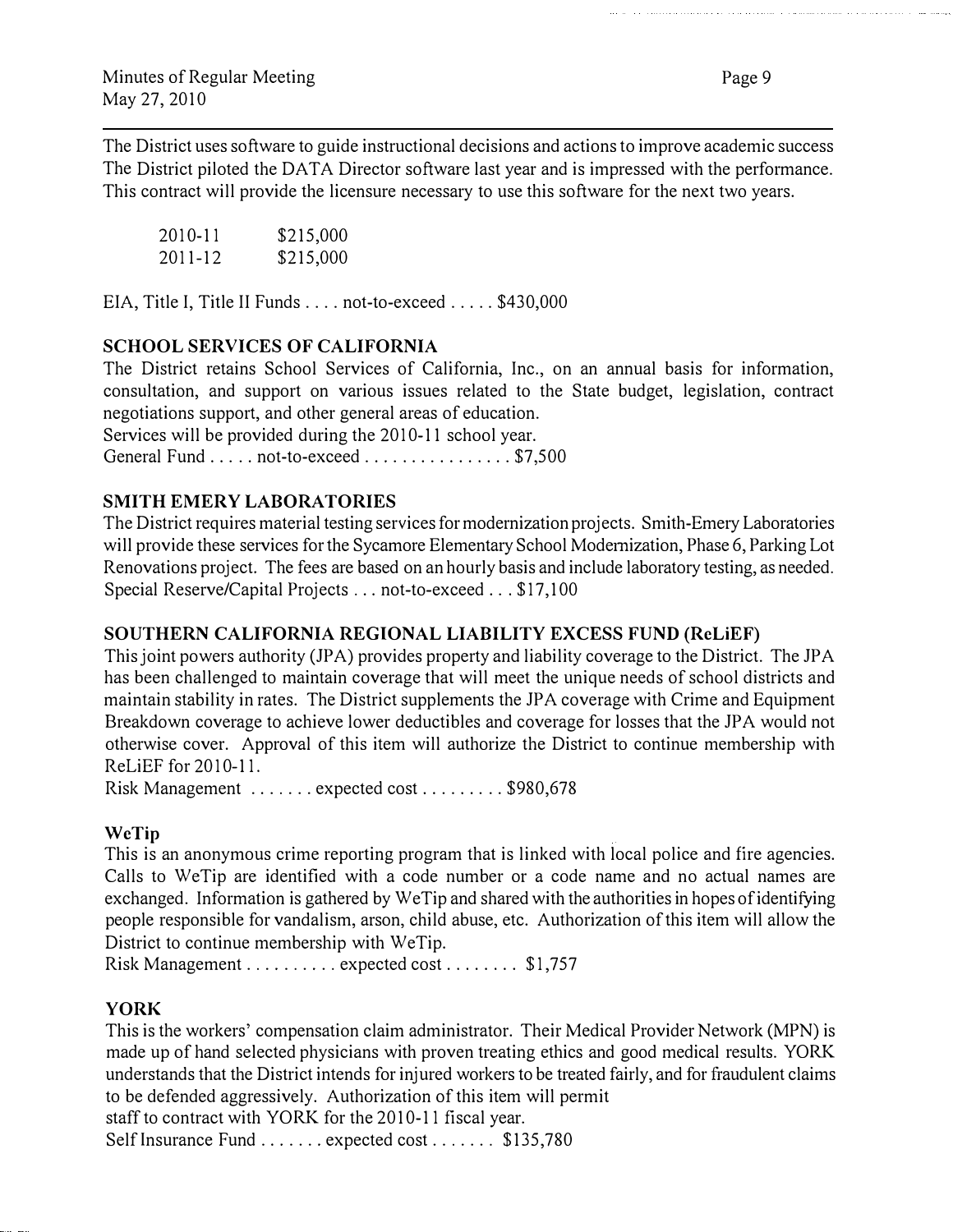The District uses software to guide instructional decisions and actions to improve academic success The District piloted the DATA Director software last year and is impressed with the performance. This contract will provide the licensure necessary to use this software for the next two years.

| 2010-11     | \$215,000 |
|-------------|-----------|
| $2011 - 12$ | \$215,000 |

EIA, Title I, Title II Funds . . . . not-to-exceed . . . . . \$430,000

# SCHOOL SERVICES OF CALIFORNIA

The District retains School Services of California, Inc., on an annual basis for information, consultation, and support on various issues related to the State budget, legislation, contract negotiations support, and other general areas of education.

Services will be provided during the 2010-11 school year.

General Fund .... not-to-exceed ................. \$7,500

# SMITH EMERY LABORATORIES

The District requires material testing services for modernization projects. Smith-Emery Laboratories will provide these services for the Sycamore Elementary School Modernization, Phase 6, Parking Lot Renovations project. The fees are based on an hourly basis and include laboratory testing, as needed. Special Reserve/Capital Projects ... not-to-exceed .. . \$17,100

#### SOUTHERN CALIFORNIA REGIONAL LIABILITY EXCESS FUND (ReLiEF)

This joint powers authority (JPA) provides property and liability coverage to the District. The JPA has been challenged to maintain coverage that will meet the unique needs of school districts and maintain stability in rates. The District supplements the JP A coverage with Crime and Equipment Breakdown coverage to achieve lower deductibles and coverage for losses that the JPA would not otherwise cover. Approval of this item will authorize the District to continue membership with ReLiEF for 2010-11.

Risk Management ....... expected cost ........ \$980,678

#### WeTip

This is an anonymous crime reporting program that is linked with local police and fire agencies. Calls to WeTip are identified with a code number or a code name and no actual names are exchanged. Information is gathered by We Tip and shared with the authorities in hopes of identifying people responsible for vandalism, arson, child abuse, etc. Authorization of this item will allow the District to continue membership with WeTip.

Risk Management . . . . . . . . . . expected cost . . . . . . . \$1,757

#### YORK

This is the workers' compensation claim administrator. Their Medical Provider Network (MPN) is made up of hand selected physicians with proven treating ethics and good medical results. YORK understands that the District intends for injured workers to be treated fairly, and for fraudulent claims to be defended aggressively. Authorization of this item will permit

staff to contract with YORK for the 2010-11 fiscal year.

Self Insurance Fund ....... expected cost ....... \$135,780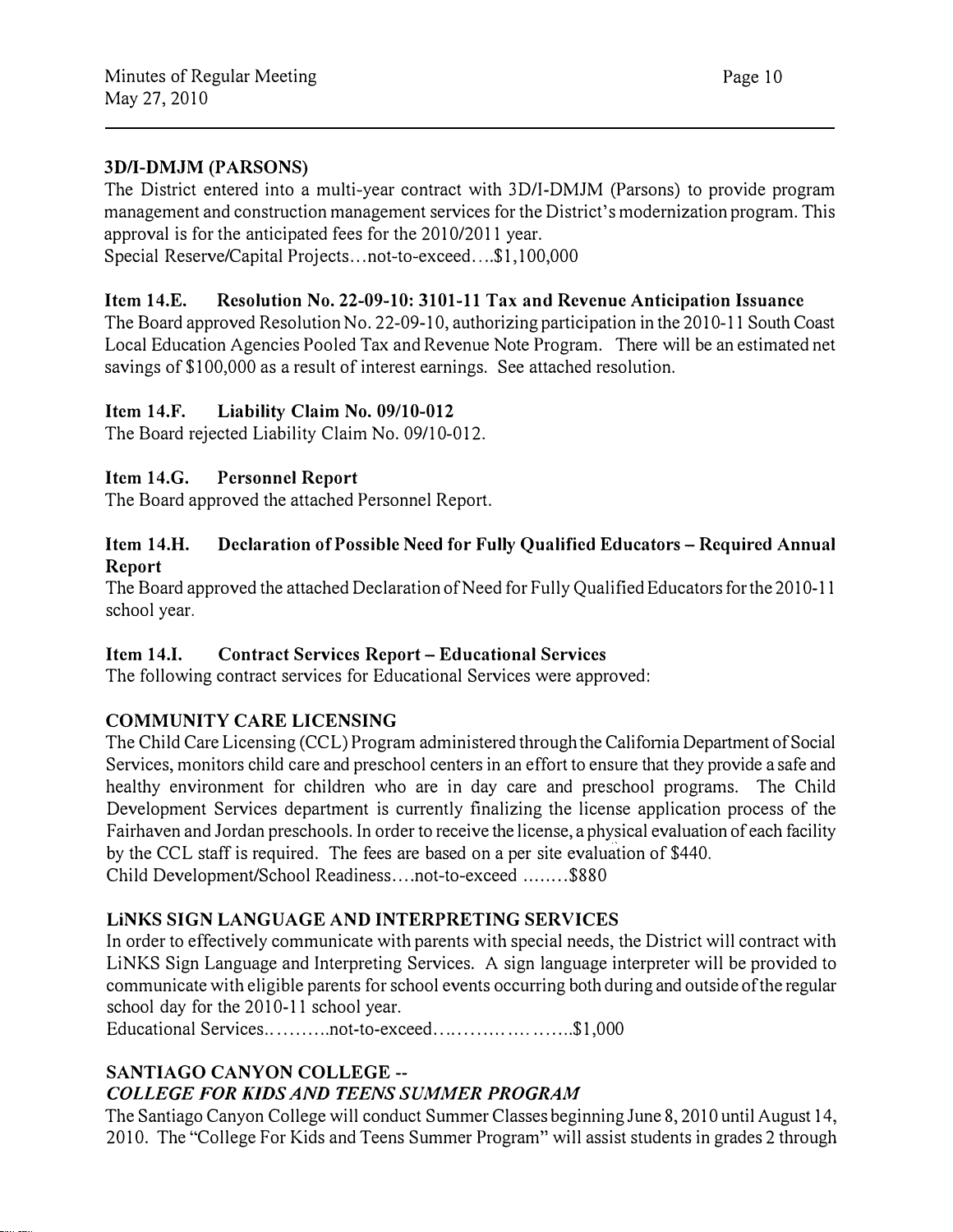#### 3D/I-DMJM (PARSONS)

The District entered into a multi-year contract with 3D/I-DMJM (Parsons) to provide program management and construction management services for the District's modernization program. This approval is for the anticipated fees for the 2010/2011 year.

Special Reserve/Capital Projects...not-to-exceed....\$1,100,000

#### Item 14.E. Resolution No. 22-09-10: 3101-11 Tax and Revenue Anticipation Issuance

The Board approved Resolution No. 22-09-10, authorizing participation in the 2010-11 South Coast Local Education Agencies Pooled Tax and Revenue Note Program. There will be an estimated net savings of \$100,000 as a result of interest earnings. See attached resolution.

#### Item 14.F. Liability Claim No. 09/10-012

The Board rejected Liability Claim No. 09/10-012.

#### Item 14.G. Personnel Report

The Board approved the attached Personnel Report.

#### Item 14.H. Declaration of Possible Need for Fully Qualified Educators- Required Annual Report

The Board approved the attached Declaration of Need for Fully Qualified Educators for the 2010-11 school year.

#### Item 14.I. Contract Services Report- Educational Services

The following contract services for Educational Services were approved:

#### COMMUNITY CARE LICENSING

The Child Care Licensing (CCL) Program administered through the California Department of Social Services, monitors child care and preschool centers in an effort to ensure that they provide a safe and healthy environment for children who are in day care and preschool programs. The Child Development Services department is currently finalizing the license application process of the Fairhaven and Jordan preschools. In order to receive the license, a physical evaluation of each facility by the CCL staff is required. The fees are based on a per site evaluation of \$440. Child Development/School Readiness .... not-to-exceed ........ \$880

#### LiNKS SIGN LANGUAGE AND INTERPRETING SERVICES

In order to effectively communicate with parents with special needs, the District will contract with LiNKS Sign Language and Interpreting Services. A sign language interpreter will be provided to communicate with eligible parents for school events occurring both during and outside of the regular school day for the 2010-11 school year.

Educational Services...........not-to-exceed..........................\$1,000

#### SANTIAGO CANYON COLLEGE-- COLLEGE FOR KIDS AND TEENS SUMMER PROGRAM

The Santiago Canyon College will conduct Summer Classes beginning June 8, 2010 until August 14, 2010. The "College For Kids and Teens Summer Program" will assist students in grades 2 through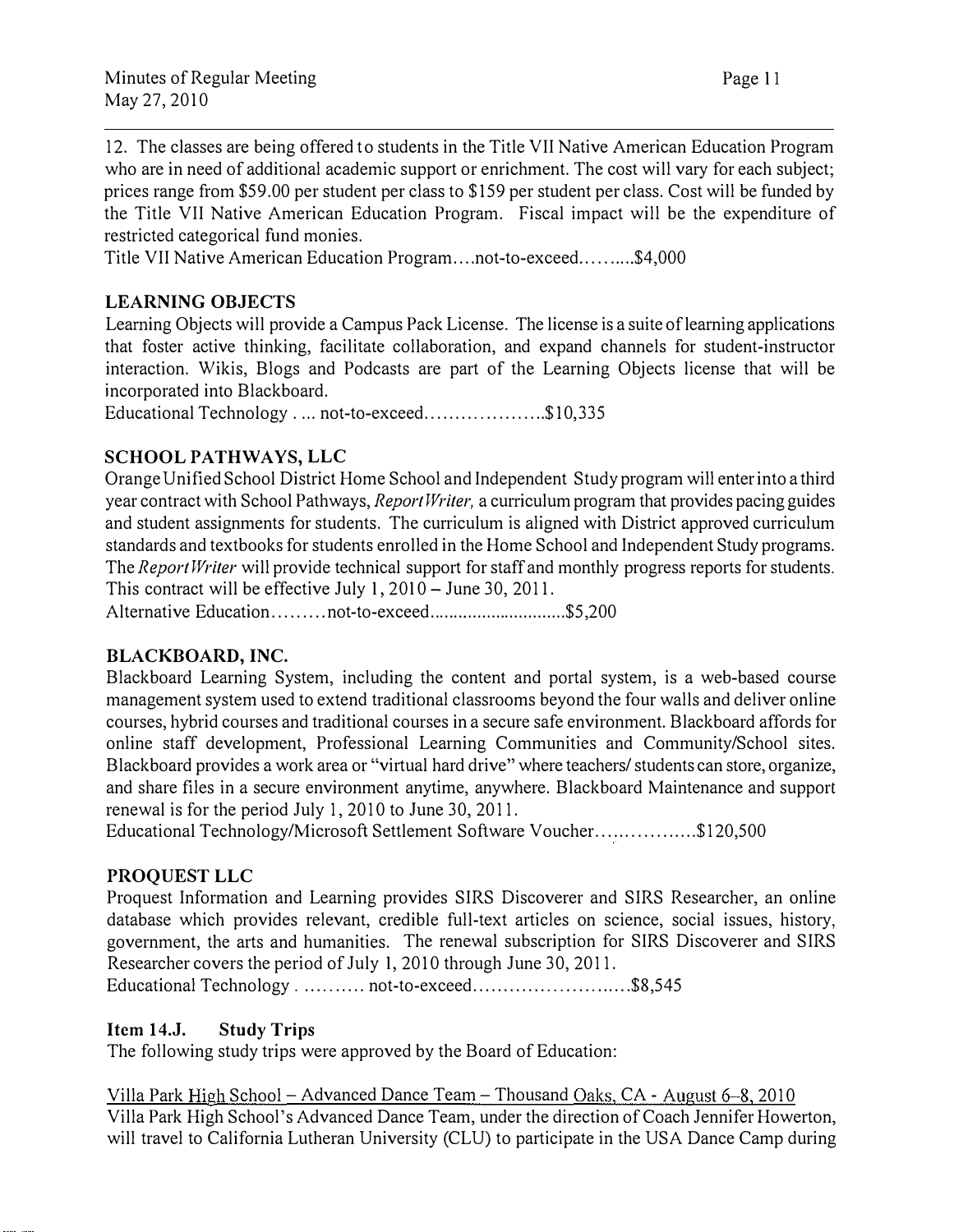12. The classes are being offered to students in the Title VII Native American Education Program who are in need of additional academic support or enrichment. The cost will vary for each subject; prices range from \$59.00 per student per class to \$159 per student per class. Cost will be funded by the Title VII Native American Education Program. Fiscal impact will be the expenditure of restricted categorical fund monies.

Title VII Native American Education Program .... not-to-exceed .......... \$4,000

# LEARNING OBJECTS

Learning Objects will provide a Campus Pack License. The license is a suite of learning applications that foster active thinking, facilitate collaboration, and expand channels for student-instructor interaction. Wikis, Blogs and Podcasts are part of the Learning Objects license that will be incorporated into Blackboard.

Educational Technology . ... not-to-exceed......................\$10,335

# SCHOOL PATHWAYS, LLC

Orange Unified School District Home School and Independent Study program will enter into a third year contract with School Pathways, *Report Writer*, a curriculum program that provides pacing guides and student assignments for students. The curriculum is aligned with District approved curriculum standards and textbooks for students enrolled in the Home School and Independent Study programs. The Report Writer will provide technical support for staff and monthly progress reports for students. This contract will be effective July  $1, 2010 -$  June 30, 2011.

Alternative Education.........not-to-exceed............................\$5,200

# BLACKBOARD, INC.

Blackboard Learning System, including the content and portal system, is a web-based course management system used to extend traditional classrooms beyond the four walls and deliver online courses, hybrid courses and traditional courses in a secure safe environment. Blackboard affords for online staff development, Professional Learning Communities and Community/School sites. Blackboard provides a work area or " virtual hard drive" where teachers/ students can store, organize, and share files in a secure environment anytime, anywhere. Blackboard Maintenance and support renewal is for the period July 1, 2010 to June 30, 2011.

Educational Technology/Microsoft Settlement Software Voucher.................\$120,500

# PROQUEST LLC

Proquest Information and Learning provides SIRS Discoverer and SIRS Researcher, an online database which provides relevant, credible full-text articles on science, social issues, history, government, the arts and humanities. The renewal subscription for SIRS Discoverer and SIRS Researcher covers the period of July I, 2010 through June 30,2011. Educational Technology . .......... not-to-exceed............................\$8,545

# Item 14.J. Study Trips

The following study trips were approved by the Board of Education:

Villa Park High School -Advanced Dance Team-Thousand Oaks, CA - August 6-8, 2010 Villa Park High School's Advanced Dance Team, under the direction of Coach Jennifer Howerton, will travel to California Lutheran University (CLU) to participate in the USA Dance Camp during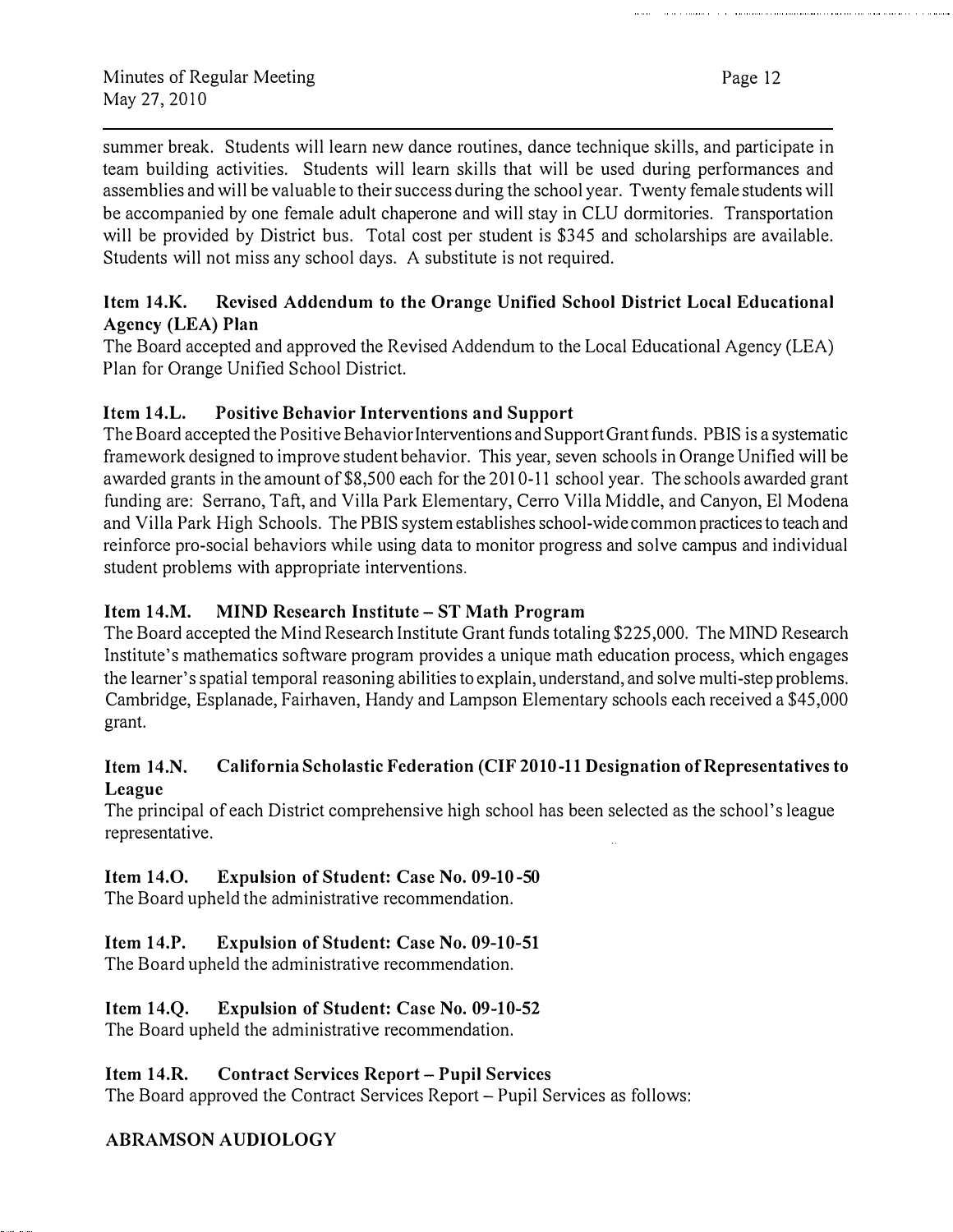summer break. Students will learn new dance routines, dance technique skills, and participate in team building activities. Students will learn skills that will be used during performances and assemblies and will be valuable to their success during the school year. Twenty female students will be accompanied by one female adult chaperone and will stay in CLU dormitories. Transportation will be provided by District bus. Total cost per student is \$345 and scholarships are available. Students will not miss any school days. A substitute is not required.

# Item 14.K. Revised Addendum to the Orange Unified School District Local Educational Agency (LEA) Plan

The Board accepted and approved the Revised Addendum to the Local Educational Agency (LEA) Plan for Orange Unified School District.

# Item 14.L. Positive Behavior Interventions and Support

The Board accepted the Positive Behavior Interventions and Support Grant funds. PBIS is a systematic framework designed to improve student behavior. This year, seven schools in Orange Unified will be awarded grants in the amount of \$8,500 each for the 2010-11 school year. The schools awarded grant funding are: Serrano, Taft, and Villa Park Elementary, Cerro Villa Middle, and Canyon, El Modena and Villa Park High Schools. The PBIS system establishes school-wide common practices to teach and reinforce pro-social behaviors while using data to monitor progress and solve campus and individual student problems with appropriate interventions.

# Item 14.M. MIND Research Institute- ST Math Program

The Board accepted the Mind Research Institute Grant funds totaling \$225,000. The MIND Research Institute's mathematics software program provides a unique math education process, which engages the learner's spatial temporal reasoning abilities to explain, understand, and solve multi-step problems. Cambridge, Esplanade, Fairhaven, Handy and Lampson Elementary schools each received a \$45,000 grant.

# Item 14.N. California Scholastic Federation (CIF 2010-11 Designation of Representatives to League

The principal of each District comprehensive high school has been selected as the school's league representative.

# Item 14.0. Expulsion of Student: Case No. 09-10-50

The Board upheld the administrative recommendation.

# Item 14.P. Expulsion of Student: Case No. 09-10-51

The Board upheld the administrative recommendation.

# Item 14.Q. Expulsion of Student: Case No. 09-10-52

The Board upheld the administrative recommendation.

# Item 14.R. Contract Services Report- Pupil Services

The Board approved the Contract Services Report- Pupil Services as follows:

# ABRAMSON AUDIOLOGY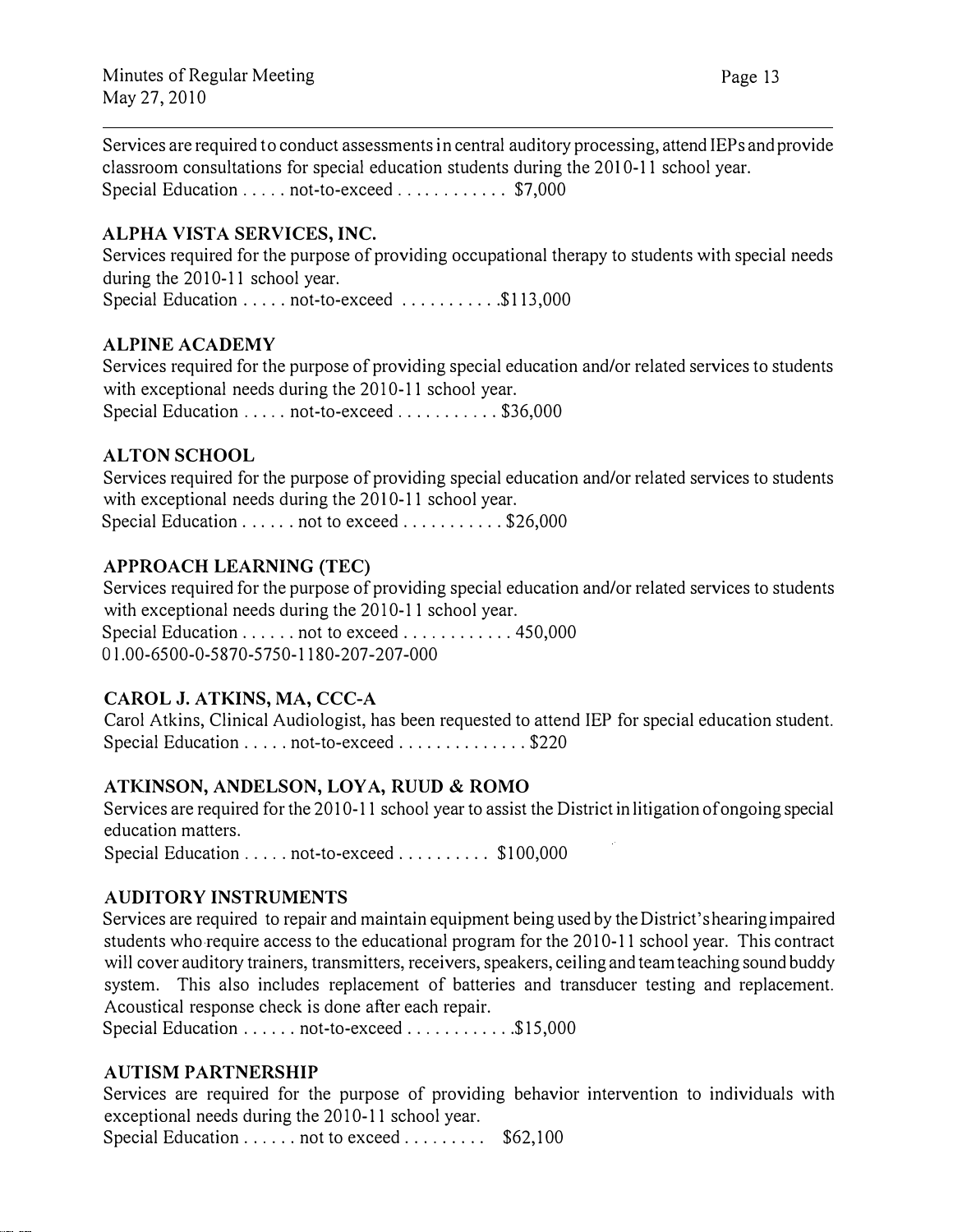Services are required to conduct assessments in central auditory processing, attend IEPs and provide classroom consultations for special education students during the 2010-11 school year. Special Education ..... not-to-exceed ............ \$7,000

## ALPHA VISTA SERVICES, INC.

Services required for the purpose of providing occupational therapy to students with special needs during the 2010-11 school year. Special Education . . . . . not-to-exceed . . . . . . . . . . \$113,000

ALPINE ACADEMY

Services required for the purpose of providing special education and/or related services to students with exceptional needs during the  $2010-11$  school year. Special Education ..... not-to-exceed .......... \$36,000

#### ALTON SCHOOL

Services required for the purpose of providing special education and/or related services to students with exceptional needs during the 2010-11 school year. Special Education . . . . . . not to exceed . . . . . . . . . . \$26,000

# APPROACH LEARNING (TEC)

Services required for the purpose of providing special education and/or related services to students with exceptional needs during the  $2010-11$  school year.

Special Education ...... not to exceed ................450,000 Ol.00-6500-0-5870-5750-1180-207-207-000

#### CAROL J. ATKINS, MA, CCC-A

Carol Atkins, Clinical Audiologist, has been requested to attend IEP for special education student. Special Education . . . . . not-to-exceed . . . . . . . . . . . . . \$220

#### ATKINSON, ANDELSON, LOYA, RUUD & ROMO

Services are required for the 2010-11 school year to assist the District in litigation of ongoing special education matters. Special Education ..... not-to-exceed .......... \$100,000

#### AUDITORY INSTRUMENTS

Services are required to repair and maintain equipment being used by the District's hearing impaired students who require access to the educational program for the 2010-11 school year. This contract will cover auditory trainers, transmitters, receivers, speakers, ceiling and team teaching sound buddy system. This also includes replacement of batteries and transducer testing and replacement. Acoustical response check is done after each repair.

Special Education ...... not-to-exceed ..............\$15,000

#### AUTISM PARTNERSHIP

Services are required for the purpose of providing behavior intervention to individuals with exceptional needs during the 2010-11 school year.

Special Education  $\dots \dots$  not to exceed  $\dots \dots$  \$62,100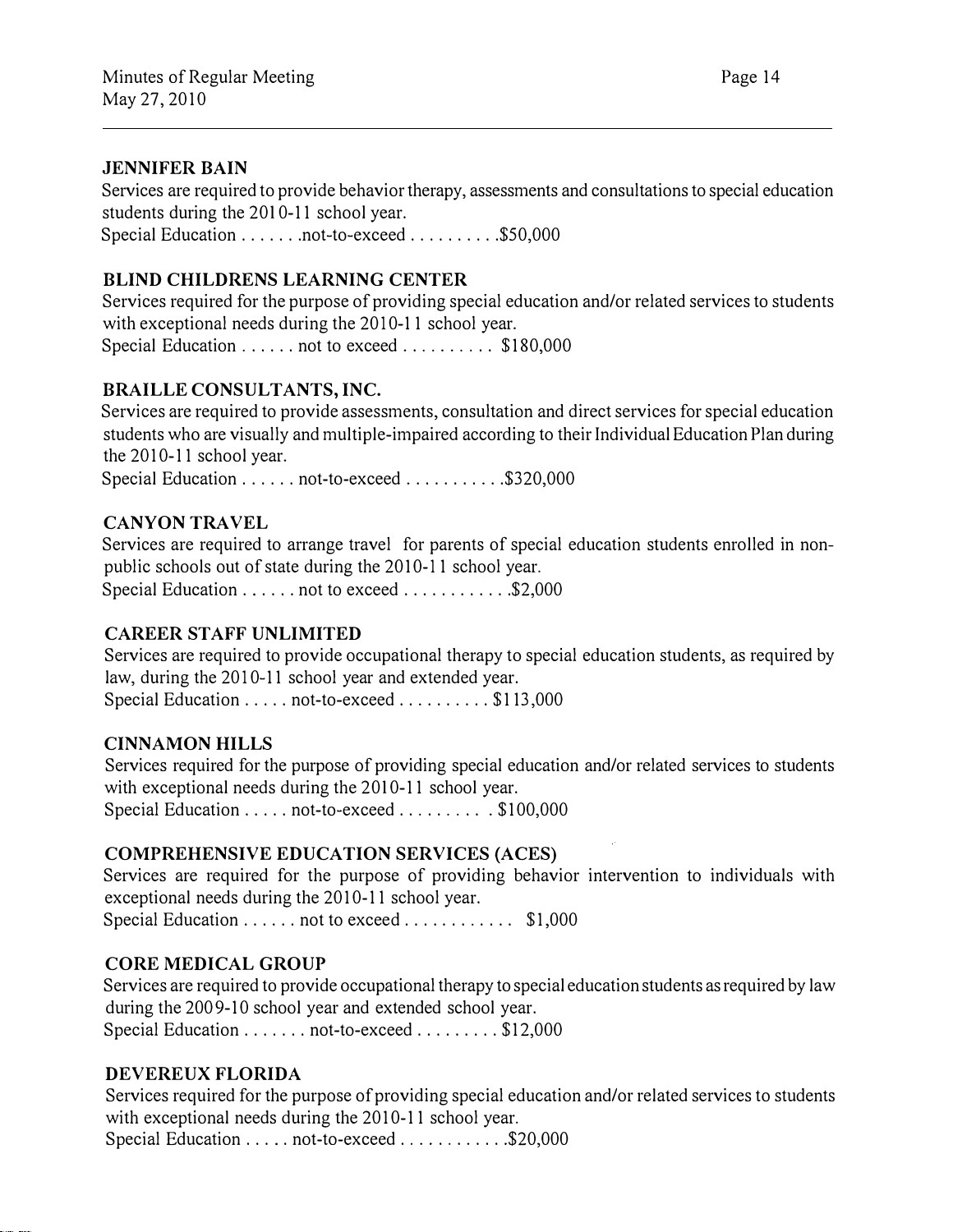#### JENNIFER BAIN

Services are required to provide behavior therapy, assessments and consultations to special education students during the 2010-11 school year. Special Education . . . . . . . not-to-exceed . . . . . . . . . \$50,000

# BLIND CHILDRENS LEARNING CENTER

Services required for the purpose of providing special education and/or related services to students with exceptional needs during the 2010-11 school year. Special Education . . . . . . not to exceed . . . . . . . . . \$180,000

#### BRAILLE CONSULTANTS, INC.

Services are required to provide assessments, consultation and direct services for special education students who are visually and multiple-impaired according to their Individual Education Plan during the 2010-11 school year.

Special Education . . . . . . not-to-exceed . . . . . . . . . . \$320,000

#### CANYON TRAVEL

Services are required to arrange travel for parents of special education students enrolled in nonpublic schools out of state during the 2010-11 school year. Special Education . . . . . . not to exceed . . . . . . . . . . . \$2,000

#### CAREER STAFF UNLIMITED

Services are required to provide occupational therapy to special education students, as required by law, during the 2010-11 school year and extended year. Special Education ..... not-to-exceed ......... \$113,000

#### CINNAMON HILLS

Services required for the purpose of providing special education and/or related services to students with exceptional needs during the 2010-11 school year. Special Education ..... not-to-exceed .......... \$100,000

#### COMPREHENSIVE EDUCATION SERVICES (ACES)

Services are required for the purpose of providing behavior intervention to individuals with exceptional needs during the 2010-11 school year. Special Education . . . . . . not to exceed . . . . . . . . . . \$1,000

#### CORE MEDICAL GROUP

Services are required to provide occupational therapy to special education students as required by law during the 2009-10 school year and extended school year. Special Education ....... not-to-exceed ......... \$12,000

#### DEVEREUX FLORIDA

Services required for the purpose of providing special education and/or related services to students with exceptional needs during the 2010-11 school year.

Special Education ..... not-to-exceed .............\$20,000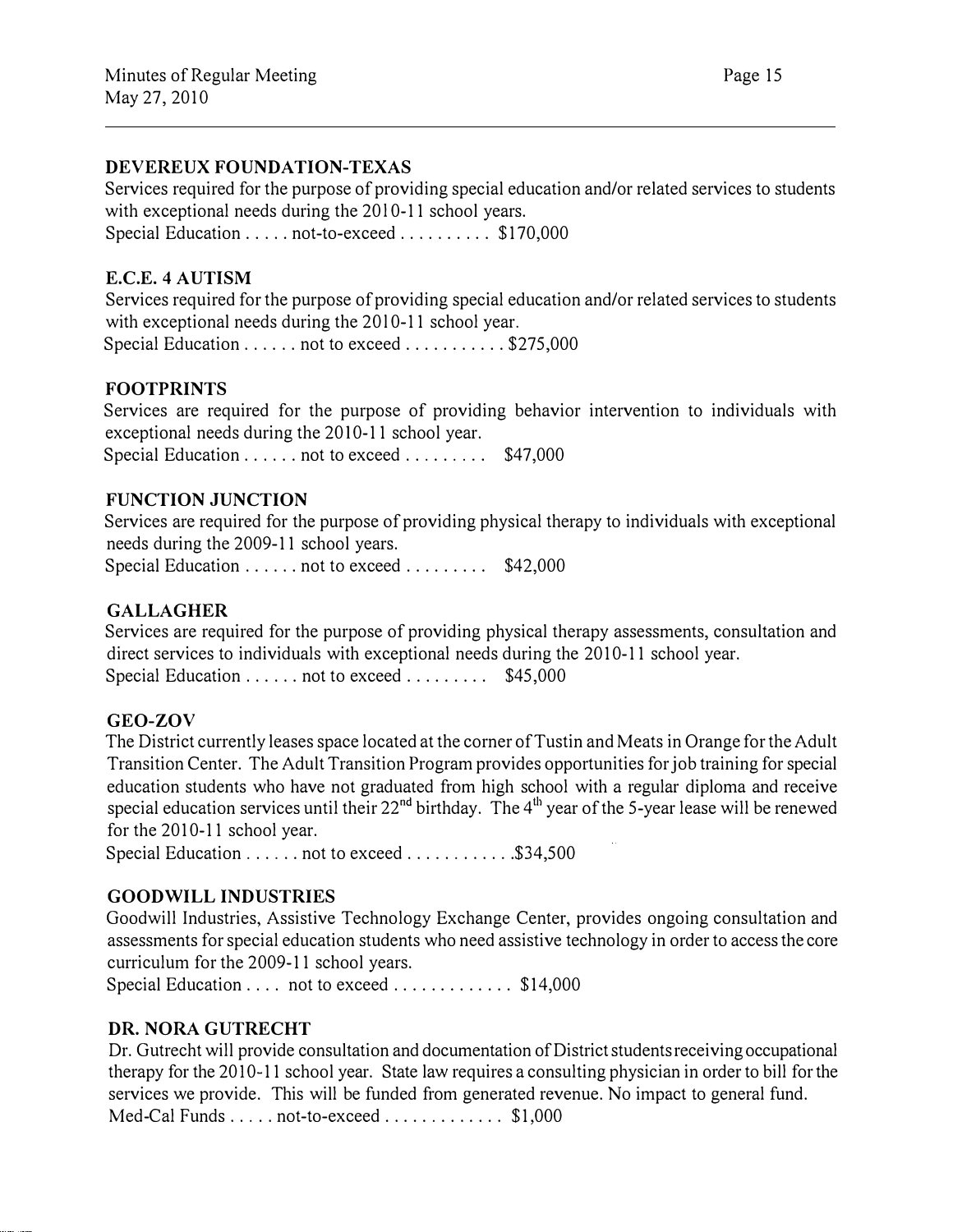#### DEVEREUX FOUNDATION-TEXAS

Services required for the purpose of providing special education and/or related services to students with exceptional needs during the 2010-11 school years. Special Education . . . . . not-to-exceed . . . . . . . . . \$170,000

#### E.C.E. 4 AUTISM

Services required for the purpose of providing special education and/or related services to students with exceptional needs during the 2010-11 school year. Special Education ...... not to exceed ............ \$275,000

## FOOTPRINTS

Services are required for the purpose of providing behavior intervention to individuals with exceptional needs during the 2010-11 school year. Special Education  $\dots \dots$  not to exceed  $\dots \dots$  \$47,000

#### FUNCTION JUNCTION

Services are required for the purpose of providing physical therapy to individuals with exceptional needs during the 2009-11 school years. Special Education . . . . . . not to exceed . . . . . . . . \$42,000

#### **GALLAGHER**

Services are required for the purpose of providing physical therapy assessments, consultation and direct services to individuals with exceptional needs during the 2010-11 school year. Special Education  $\dots \dots$  not to exceed  $\dots \dots$  \$45,000

#### GEO-ZOV

The District currently leases space located at the corner of Tustin and Meats in Orange for the Adult Transition Center. The Adult Transition Program provides opportunities for job training for special education students who have not graduated from high school with a regular diploma and receive special education services until their 22<sup>nd</sup> birthday. The 4<sup>th</sup> year of the 5-year lease will be renewed for the 2010-11 school year.

Special Education . . . . . . not to exceed . . . . . . . . . . . \$34,500

#### GOODWILL INDUSTRIES

Goodwill Industries, Assistive Technology Exchange Center, provides ongoing consultation and assessments for special education students who need assistive technology in order to access the core curriculum for the 2009-11 school years.

Special Education . . . . not to exceed . . . . . . . . . . . \$14,000

#### DR. NORA GUTRECHT

Dr. Gutrecht will provide consultation and documentation of District students receiving occupational therapy for the 2010-11 school year. State law requires a consulting physician in order to bill for the services we provide. This will be funded from generated revenue. No impact to general fund. Med-Cal Funds ..... not-to-exceed ................. \$1,000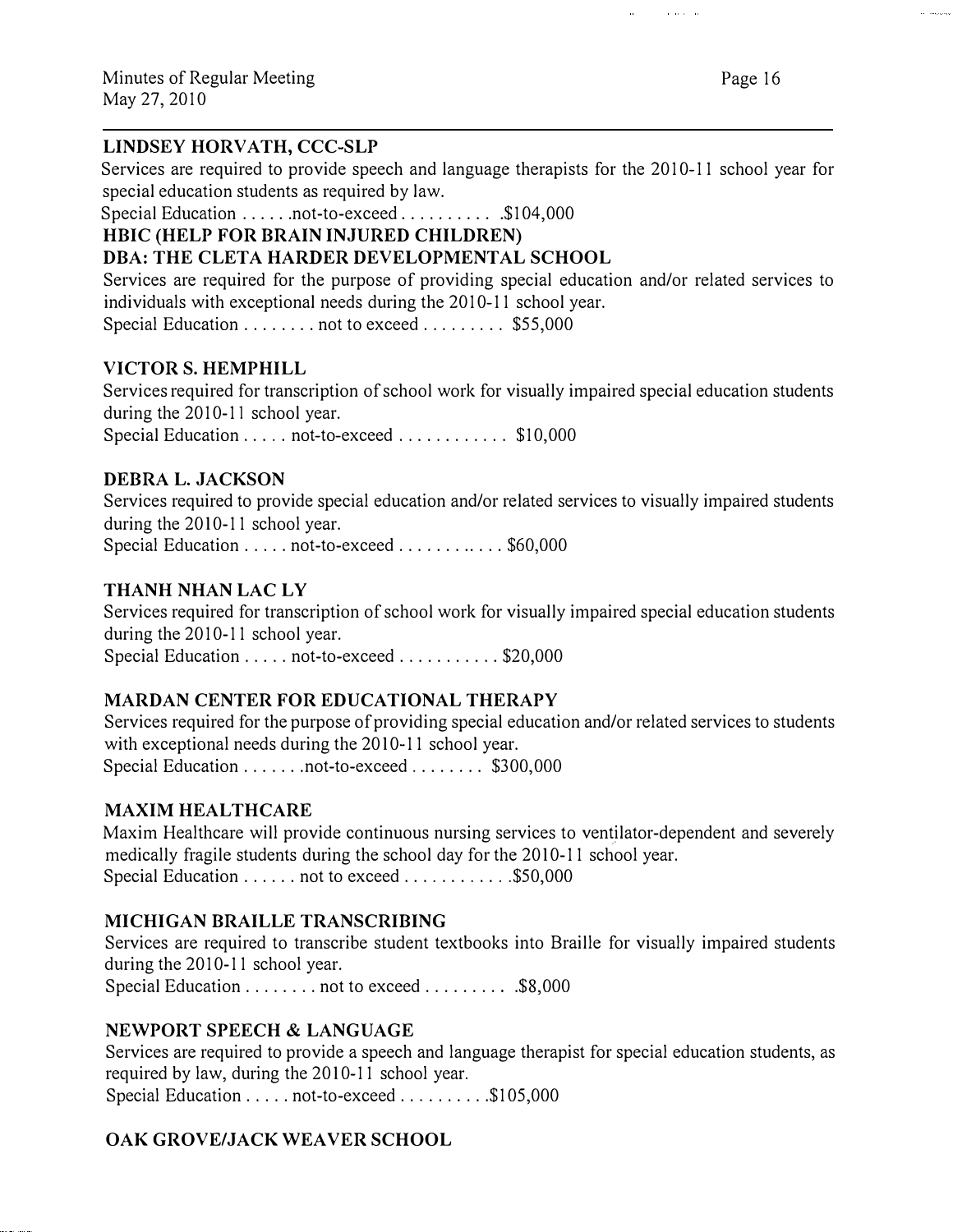#### LINDSEY HORVATH, CCC-SLP

Services are required to provide speech and language therapists for the 2010-11 school year for special education students as required by law.

Special Education ......not-to-exceed .............. \$104,000

#### HBIC (HELP FOR BRAIN INJURED CHILDREN)

# DBA: THE CLETA HARDER DEVELOPMENTAL SCHOOL

Services are required for the purpose of providing special education and/or related services to individuals with exceptional needs during the 2010-11 school year. Special Education . . . . . . . . not to exceed . . . . . . . . \$55,000

# VICTOR S. HEMPHILL

Services required for transcription of school work for visually impaired special education students during the 2010-11 school year.

Special Education . . . . . not-to-exceed . . . . . . . . . . . \$10,000

#### DEBRA L. JACKSON

Services required to provide special education and/or related services to visually impaired students during the  $2010-11$  school year.

Special Education ..... not-to-exceed ............ \$60,000

#### THANH NHAN LAC LY

Services required for transcription of school work for visually impaired special education students during the 2010-11 school year.

Special Education ..... not-to-exceed ........... \$20,000

#### MARDAN CENTER FOR EDUCATIONAL THERAPY

Services required for the purpose of providing special education and/or related services to students with exceptional needs during the 2010-11 school year. Special Education ....... not-to-exceed ........ \$300,000

#### **MAXIM HEALTHCARE**

Maxim Healthcare will provide continuous nursing services to ventilator-dependent and severely medically fragile students during the school day for the 2010-11 school year. Special Education ...... not to exceed ..............\$50,000

#### MICHIGAN BRAILLE TRANSCRIBING

Services are required to transcribe student textbooks into Braille for visually impaired students during the 2010-11 school year.

Special Education . . . . . . . . not to exceed . . . . . . . . . \$8,000

#### NEWPORT SPEECH & LANGUAGE

Services are required to provide a speech and language therapist for special education students, as required by law, during the 2010-11 school year. Special Education ..... not-to-exceed ........... \$105,000

#### OAK GROVE/JACK WEAVER SCHOOL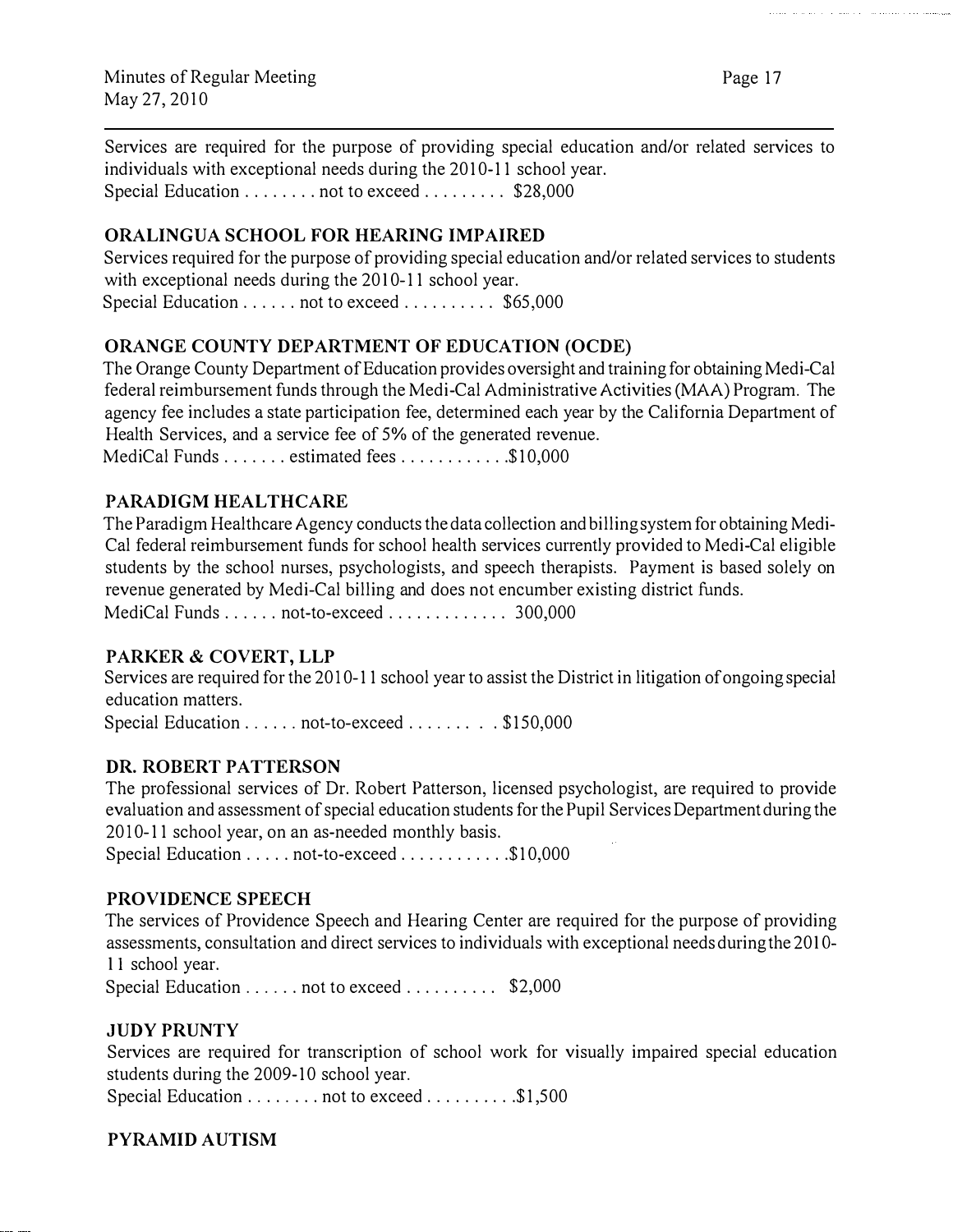Services are required for the purpose of providing special education and/or related services to individuals with exceptional needs during the 2010-11 school year. Special Education ......... not to exceed .......... \$28,000

#### ORALINGUA SCHOOL FOR HEARING IMPAIRED

Services required for the purpose of providing special education and/or related services to students with exceptional needs during the 2010-11 school year. Special Education ...... not to exceed ........... \$65,000

#### ORANGE COUNTY DEPARTMENT OF EDUCATION (OCDE)

The Orange County Department of Education provides oversight and training for obtaining Medi-Cal federal reimbursement funds through the Medi-Cal Administrative Activities (MAA) Program. The agency fee includes a state participation fee, determined each year by the California Department of Health Services, and a service fee of 5% of the generated revenue. MediCal Funds ....... estimated fees ..............\$10,000

#### PARADIGM HEALTHCARE

The Paradigm Healthcare Agency conducts the data collection and billing system for obtaining Medi-Cal federal reimbursement funds for school health services currently provided to Medi-Cal eligible students by the school nurses, psychologists, and speech therapists. Payment is based solely on revenue generated by Medi-Cal billing and does not encumber existing district funds. MediCal Funds . . . . . . not-to-exceed . . . . . . . . . . . . 300,000

#### PARKER & COVERT, LLP

Services are required for the 2010-11 school year to assist the District in litigation of ongoing special education matters.

Special Education ...... not-to-exceed ........ . \$150,000

#### DR. ROBERT PATTERSON

The professional services of Dr. Robert Patterson, licensed psychologist, are required to provide evaluation and assessment of special education students for the Pupil Services Department during the 2010-11 school year, on an as-needed monthly basis.

Special Education ..... not-to-exceed ............. \$10,000

#### PROVIDENCE SPEECH

The services of Providence Speech and Hearing Center are required for the purpose of providing assessments, consultation and direct services to individuals with exceptional needs during the 2010-Il school year.

Special Education . . . . . . not to exceed . . . . . . . . . \$2,000

#### JUDY PRUNTY

Services are required for transcription of school work for visually impaired special education students during the 2009-10 school year.

Special Education . . . . . . . . not to exceed . . . . . . . . . \$1,500

#### PYRAMID AUTISM

and an area of the same of the contract of the commutes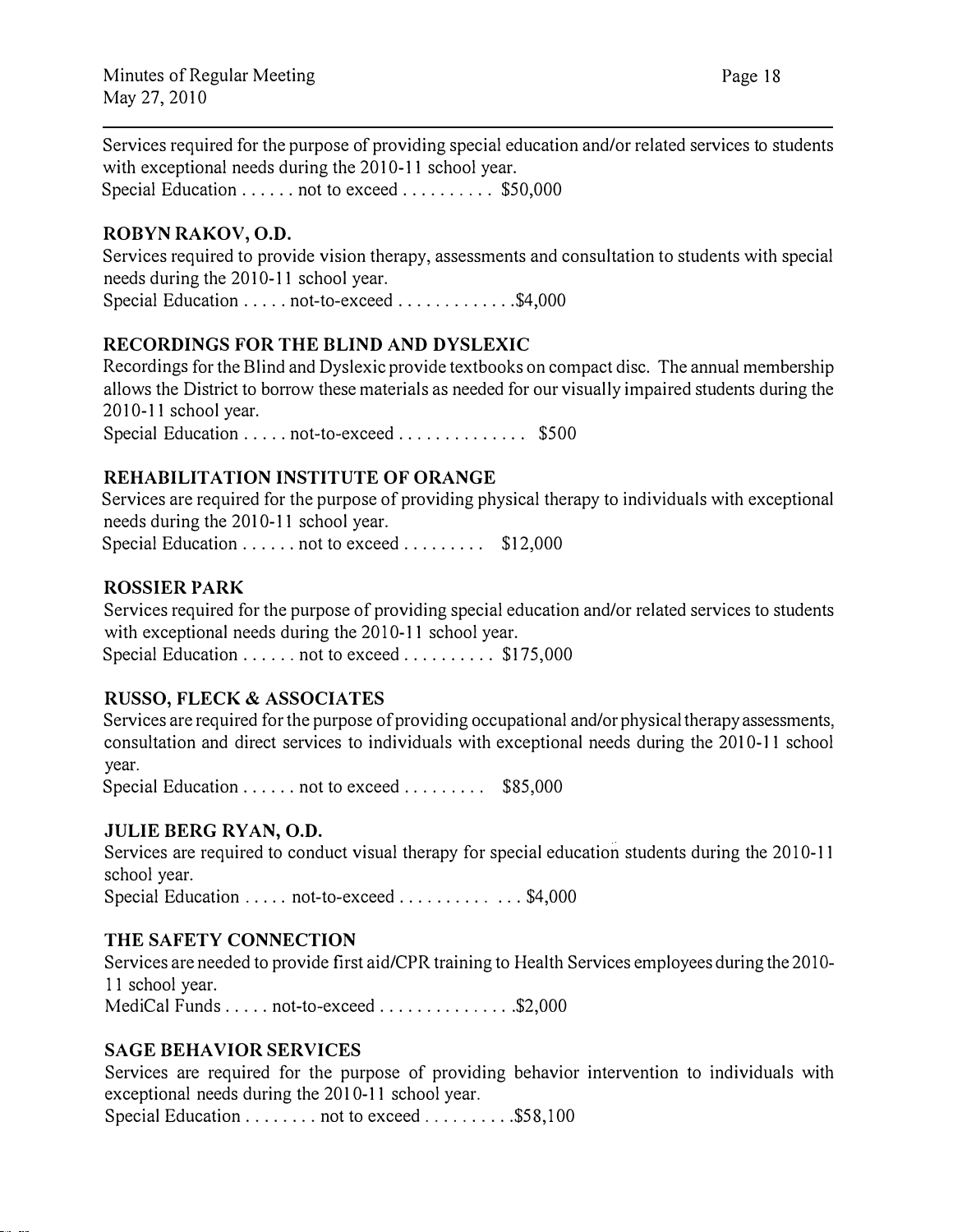Services required for the purpose of providing special education and/or related services to students with exceptional needs during the 2010-11 school year. Special Education . . . . . . not to exceed . . . . . . . . . \$50,000

#### ROBYN RAKOV, O.D.

Services required to provide vision therapy, assessments and consultation to students with special needs during the 2010-11 school year. Special Education ..... not-to-exceed ..............\$4,000

#### RECORDINGS FOR THE BLIND AND DYSLEXIC

Recordings for the Blind and Dyslexic provide textbooks on compact disc. The annual membership allows the District to borrow these materials as needed for our visually impaired students during the 2010-11 school year.

Special Education . . . . . not-to-exceed . . . . . . . . . . . . \$500

#### REHABILITATION INSTITUTE OF ORANGE

Services are required for the purpose of providing physical therapy to individuals with exceptional needs during the 2010-11 school year. Special Education ...... not to exceed ........... \$12.000

#### ROSSIER PARK

Services required for the purpose of providing special education and/or related services to students with exceptional needs during the 2010-11 school year. Special Education ...... not to exceed ............ \$175,000

#### RUSSO, FLECK & ASSOCIATES

Services are required for the purpose of providing occupational and/or physical therapy assessments, consultation and direct services to individuals with exceptional needs during the 2010-11 school year.

Special Education . . . . . . not to exceed . . . . . . . . \$85,000

#### JULIE BERG RYAN, O.D.

Services are required to conduct visual therapy for special education students during the 2010-11 school year.

Special Education ..... not-to-exceed ............. \$4,000

#### THE SAFETY CONNECTION

Services are needed to provide first aid/CPR training to Health Services employees during the 2010-Il school year. MediCal Funds . . . . . not-to-exceed . . . . . . . . . . . . . . \$2,000

#### SAGE BEHAVIOR SERVICES

Services are required for the purpose of providing behavior intervention to individuals with exceptional needs during the 2010-11 school year.

Special Education . . . . . . . . not to exceed . . . . . . . . . \$58,100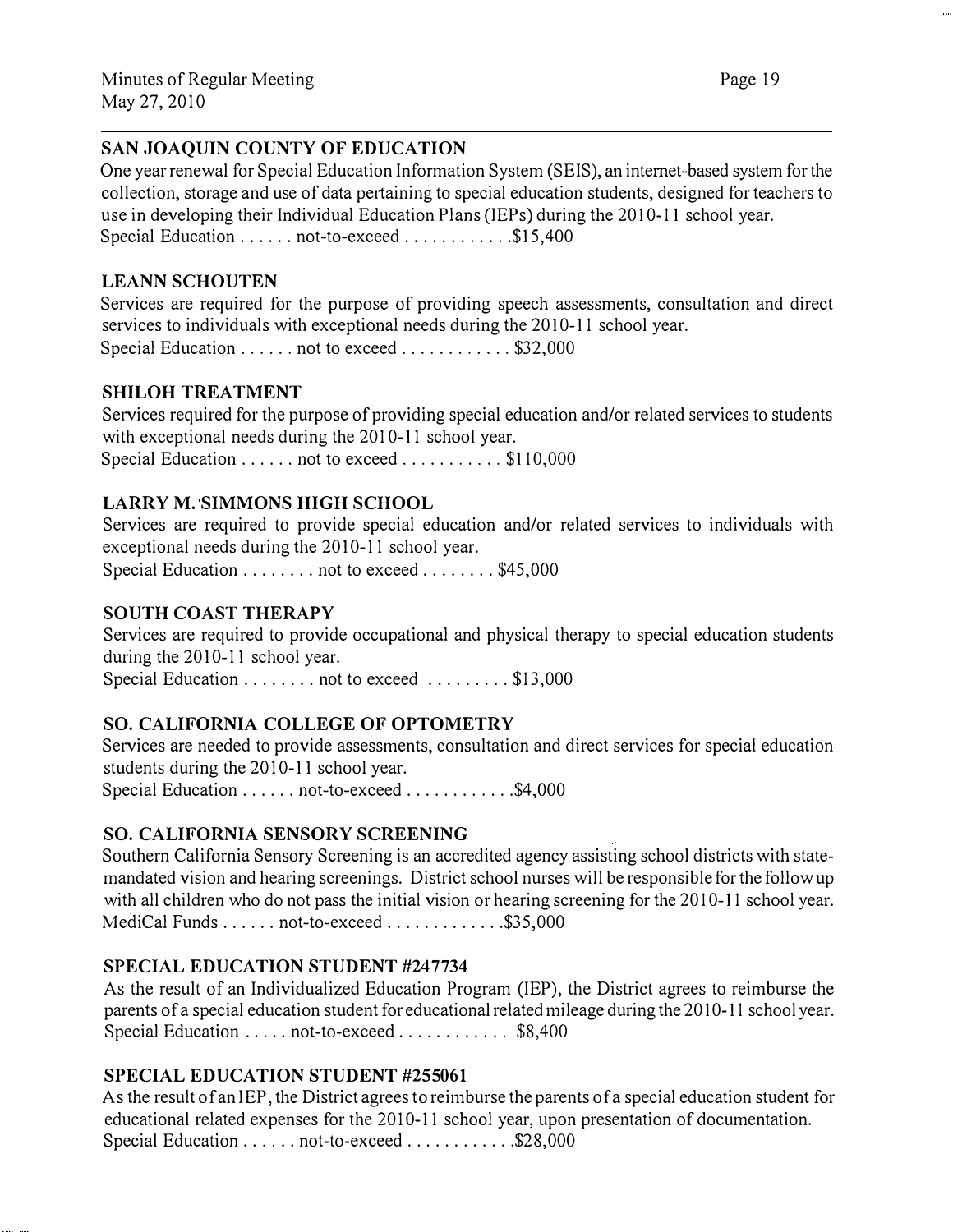# SAN JOAQUIN COUNTY OF EDUCATION

One year renewal for Special Education Information System (SEIS), an intemet-based system for the collection, storage and use of data pertaining to special education students, designed for teachers to use in developing their Individual Education Plans (IEPs) during the 2010-11 school year. Special Education ...... not-to-exceed ..............\$15,400

# LEANN SCHOUTEN

Services are required for the purpose of providing speech assessments, consultation and direct services to individuals with exceptional needs during the 2010-11 school year. Special Education ...... not to exceed ............ \$32,000

SHILOH TREATMENT

Services required for the purpose of providing special education and/or related services to students with exceptional needs during the 2010-11 school year. Special Education ...... not to exceed ........... \$110,000

# LARRY M. SIMMONS HIGH SCHOOL

Services are required to provide special education and/or related services to individuals with exceptional needs during the 2010-11 school year. Special Education ......... not to exceed ........ \$45,000

# SOUTH COAST THERAPY

Services are required to provide occupational and physical therapy to special education students during the 2010-11 school year.

Special Education ......... not to exceed .......... \$13,000

# SO. CALIFORNIA COLLEGE OF OPTOMETRY

Services are needed to provide assessments, consultation and direct services for special education students during the 2010-11 school year.

Special Education ...... not-to-exceed ............ \$4,000

# SO. CALIFORNIA SENSORY SCREENING

Southern California Sensory Screening is an accredited agency assisting school districts with statemandated vision and hearing screenings. District school nurses will be responsible for the follow up with all children who do not pass the initial vision or hearing screening for the 2010-11 school year. MediCal Funds . . . . . . not-to-exceed . . . . . . . . . . . . \$35,000

# SPECIAL EDUCATION STUDENT #247734

As the result of an Individualized Education Program (IEP), the District agrees to reimburse the parents of a special education student for educational related mileage during the 2010-11 school year. Special Education ..... not-to-exceed ............ \$8,400

# SPECIAL EDUCATION STUDENT #255061

As the result of an IEP, the District agrees to reimburse the parents of a special education student for educational related expenses for the 2010-11 school year, upon presentation of documentation. Special Education ...... not-to-exceed .............\$28,000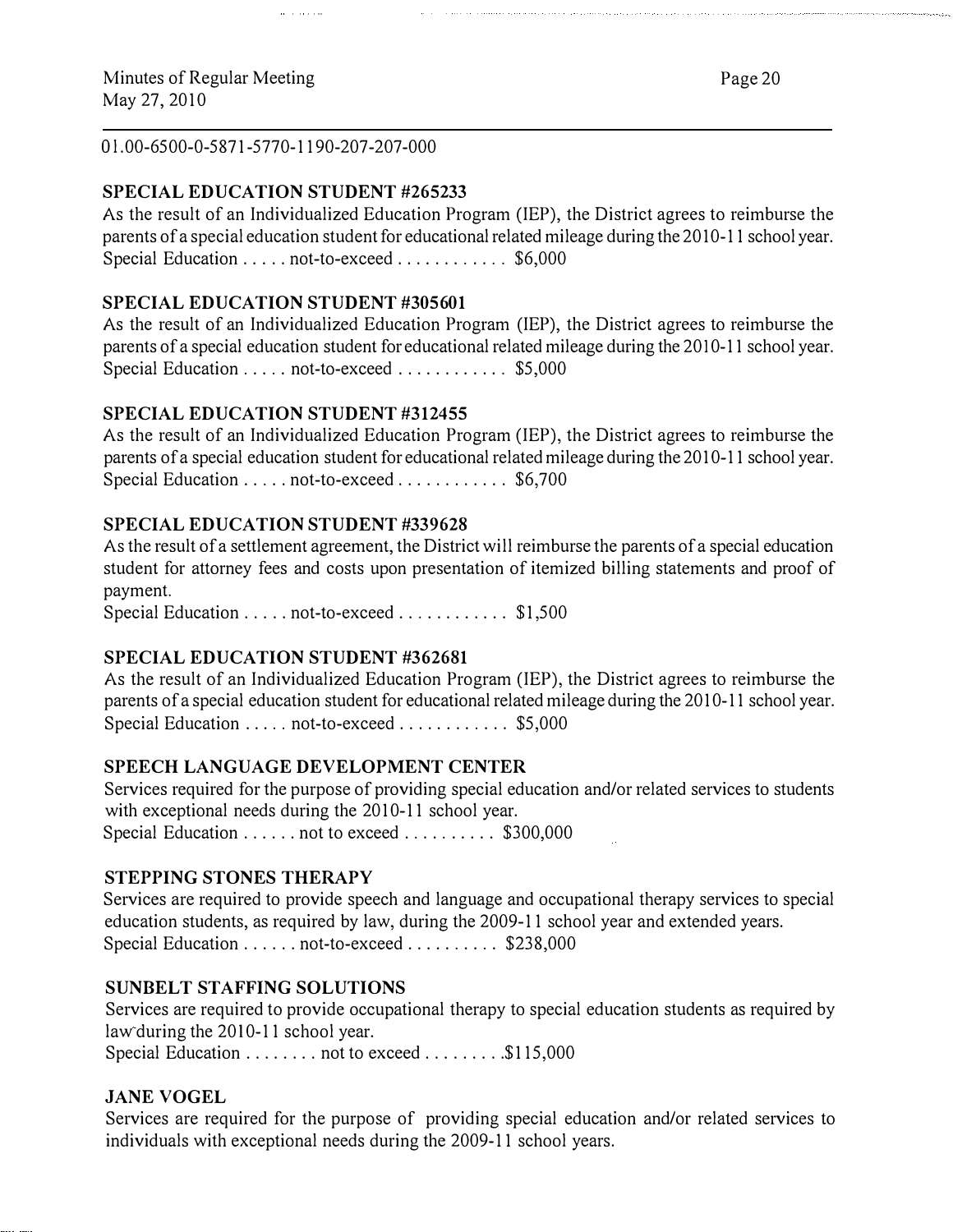Ol.00-6500-0-5871-5770-1190-207-207-000

# SPECIAL EDUCATION STUDENT #265233

As the result of an Individualized Education Program (IEP), the District agrees to reimburse the parents of a special education student for educational related mileage during the 2010-11 school year. Special Education ..... not-to-exceed .............. \$6,000

# SPECIAL EDUCATION STUDENT #305601

As the result of an Individualized Education Program (IEP), the District agrees to reimburse the parents of a special education student for educational related mileage during the 2010-11 school year. Special Education ..... not-to-exceed .............. \$5,000

#### SPECIAL EDUCATION STUDENT #312455

As the result of an Individualized Education Program (IEP), the District agrees to reimburse the parents of a special education student for educational related mileage during the 2010-11 school year. Special Education ..... not-to-exceed .............. \$6,700

#### SPECIAL EDUCATION STUDENT #339628

As the result of a settlement agreement, the District will reimburse the parents of a special education student for attorney fees and costs upon presentation of itemized billing statements and proof of payment.

Special Education ..... not-to-exceed .............. \$1,500

#### SPECIAL EDUCATION STUDENT #362681

As the result of an Individualized Education Program (IEP), the District agrees to reimburse the parents of a special education student for educational related mileage during the 2010-11 school year. Special Education ..... not-to-exceed ............... \$5,000

#### SPEECH LANGUAGE DEVELOPMENT CENTER

Services required for the purpose of providing special education and/or related services to students with exceptional needs during the 2010-11 school year. Special Education . . . . . . not to exceed . . . . . . . . . \$300,000

#### STEPPING STONES THERAPY

Services are required to provide speech and language and occupational therapy services to special education students, as required by law, during the 2009-11 school year and extended years. Special Education ...... not-to-exceed .......... \$238,000

#### SUNBELT STAFFING SOLUTIONS

Services are required to provide occupational therapy to special education students as required by law during the 2010-11 school year.

Special Education ........ not to exceed ......... \$115,000

#### JANE VOGEL

Services are required for the purpose of providing special education and/or related services to individuals with exceptional needs during the 2009-11 school years.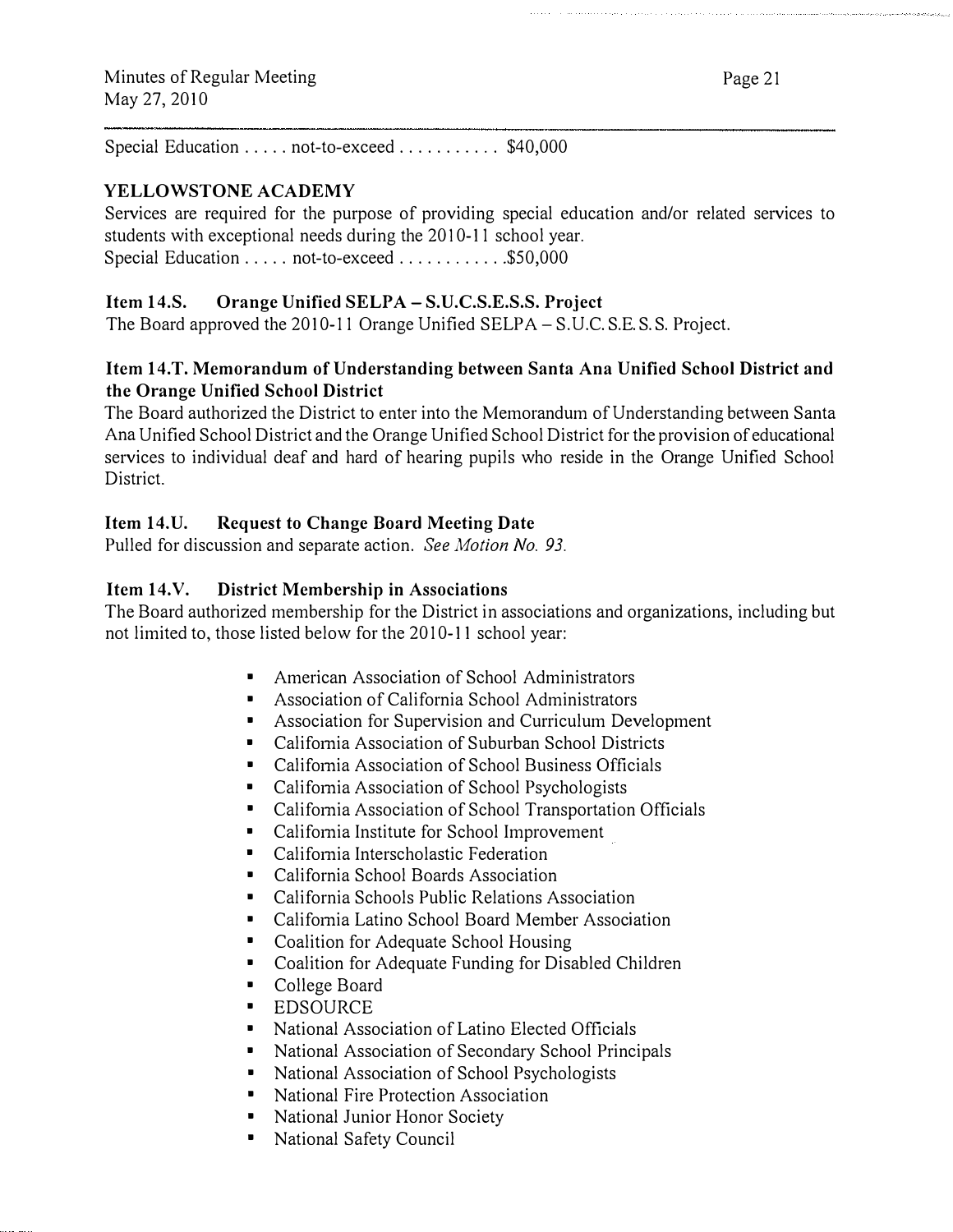Special Education ..... not-to-exceed ......... \$40,000

#### YELLOWSTONE ACADEMY

Services are required for the purpose of providing special education and/or related services to students with exceptional needs during the 2010-11 school year. Special Education ..... not-to-exceed ...............\$50,000

#### Item 14.S. Orange Unified SELPA- S.U.C.S.E.S.S. Project

The Board approved the 2010-11 Orange Unified SELPA-S.U.C.S.E.S.S. Project.

#### Item 14.T. Memorandum of Understanding between Santa Ana Unified School District and the Orange Unified School District

The Board authorized the District to enter into the Memorandum of Understanding between Santa Ana Unified School District and the Orange Unified School District for the provision of educational services to individual deaf and hard of hearing pupils who reside in the Orange Unified School District.

#### Item 14.U. Request to Change Board Meeting Date

Pulled for discussion and separate action. See Motion No. 93.

#### Item 14.V. District Membership in Associations

The Board authorized membership for the District in associations and organizations, including but not limited to, those listed below for the 2010-11 school year:

- American Association of School Administrators
- Association of California School Administrators
- Association for Supervision and Curriculum Development
- California Association of Suburban School Districts
- California Association of School Business Officials
- California Association of School Psychologists
- California Association of School Transportation Officials
- California Institute for School Improvement
- California Interscholastic Federation
- California School Boards Association
- California Schools Public Relations Association
- California Latino School Board Member Association
- Coalition for Adequate School Housing
- Coalition for Adequate Funding for Disabled Children
- College Board
- **EDSOURCE**
- National Association of Latino Elected Officials
- National Association of Secondary School Principals
- National Association of School Psychologists
- National Fire Protection Association
- National Junior Honor Society
- National Safety Council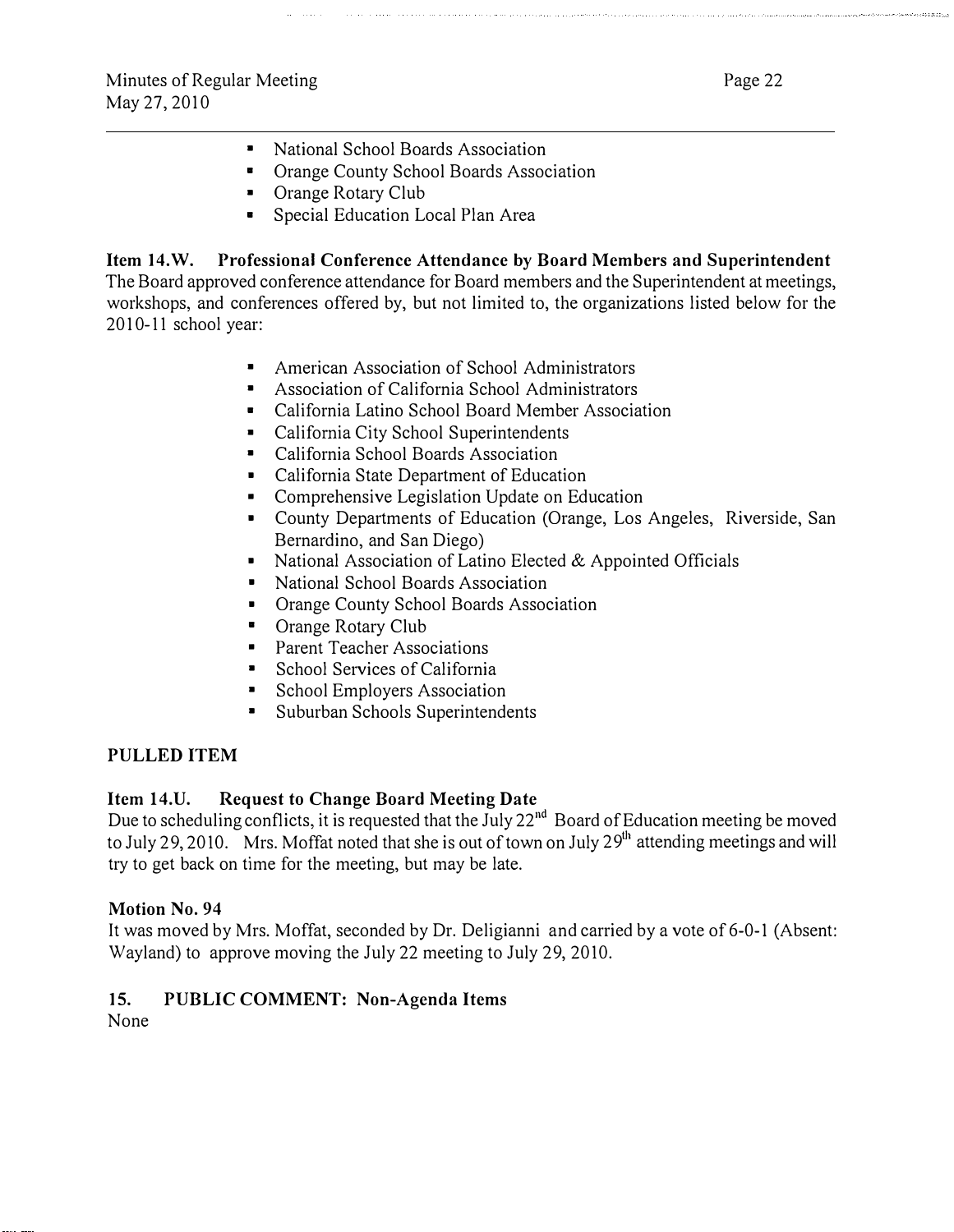- National School Boards Association
- Orange County School Boards Association
- Orange Rotary Club
- Special Education Local Plan Area

Item 14.W. Professional Conference Attendance by Board Members and Superintendent The Board approved conference attendance for Board members and the Superintendent at meetings, workshops, and conferences offered by, but not limited to, the organizations listed below for the 2010-11 school year:

- American Association of School Administrators
- Association of California School Administrators
- California Latino School Board Member Association
- California City School Superintendents
- California School Boards Association
- California State Department of Education
- Comprehensive Legislation Update on Education
- County Departments of Education (Orange, Los Angeles, Riverside, San Bernardino, and San Diego)
- National Association of Latino Elected & Appointed Officials
- National School Boards Association
- Orange County School Boards Association
- Orange Rotary Club
- Parent Teacher Associations
- School Services of California
- School Employers Association
- Suburban Schools Superintendents

#### PULLED ITEM

#### Item 14.U. Request to Change Board Meeting Date

Due to scheduling conflicts, it is requested that the July 22<sup>nd</sup> Board of Education meeting be moved to July 29, 2010. Mrs. Moffat noted that she is out of town on July 29<sup>th</sup> attending meetings and will try to get back on time for the meeting, but may be late.

#### Motion No. 94

It was moved by Mrs. Moffat, seconded by Dr. Deligianni and carried by a vote of 6-0-1 (Absent: Wayland) to approve moving the July 22 meeting to July 29, 2010.

# 15. PUBLIC COMMENT: Non-Agenda Items

None